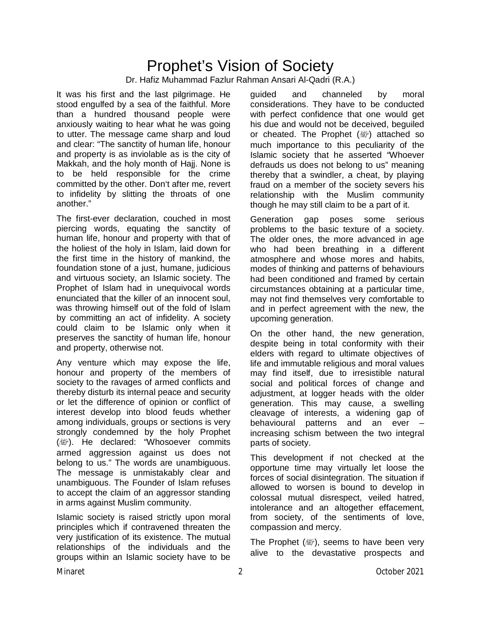### Prophet's Vision of Society Dr. Hafiz Muhammad Fazlur Rahman Ansari Al-Qadri (R.A.)

It was his first and the last pilgrimage. He stood engulfed by a sea of the faithful. More than a hundred thousand people were anxiously waiting to hear what he was going to utter. The message came sharp and loud and clear: "The sanctity of human life, honour and property is as inviolable as is the city of Makkah, and the holy month of Hajj. None is to be held responsible for the crime committed by the other. Don't after me, revert to infidelity by slitting the throats of one another."

The first-ever declaration, couched in most piercing words, equating the sanctity of human life, honour and property with that of the holiest of the holy in Islam, laid down for the first time in the history of mankind, the foundation stone of a just, humane, judicious and virtuous society, an Islamic society. The Prophet of Islam had in unequivocal words enunciated that the killer of an innocent soul, was throwing himself out of the fold of Islam by committing an act of infidelity. A society could claim to be Islamic only when it preserves the sanctity of human life, honour and property, otherwise not.

Any venture which may expose the life, honour and property of the members of society to the ravages of armed conflicts and thereby disturb its internal peace and security or let the difference of opinion or conflict of interest develop into blood feuds whether among individuals, groups or sections is very strongly condemned by the holy Prophet ( ). He declared: "Whosoever commits armed aggression against us does not belong to us." The words are unambiguous. The message is unmistakably clear and unambiguous. The Founder of Islam refuses to accept the claim of an aggressor standing in arms against Muslim community.

Islamic society is raised strictly upon moral principles which if contravened threaten the very justification of its existence. The mutual relationships of the individuals and the groups within an Islamic society have to be

guided and channeled by moral considerations. They have to be conducted with perfect confidence that one would get his due and would not be deceived, beguiled or cheated. The Prophet (@) attached so much importance to this peculiarity of the Islamic society that he asserted "Whoever defrauds us does not belong to us" meaning thereby that a swindler, a cheat, by playing fraud on a member of the society severs his relationship with the Muslim community though he may still claim to be a part of it.

Generation gap poses some serious problems to the basic texture of a society. The older ones, the more advanced in age who had been breathing in a different atmosphere and whose mores and habits, modes of thinking and patterns of behaviours had been conditioned and framed by certain circumstances obtaining at a particular time, may not find themselves very comfortable to and in perfect agreement with the new, the upcoming generation.

On the other hand, the new generation, despite being in total conformity with their elders with regard to ultimate objectives of life and immutable religious and moral values may find itself, due to irresistible natural social and political forces of change and adjustment, at logger heads with the older generation. This may cause, a swelling cleavage of interests, a widening gap of behavioural patterns and an ever – increasing schism between the two integral parts of society.

This development if not checked at the opportune time may virtually let loose the forces of social disintegration. The situation if allowed to worsen is bound to develop in colossal mutual disrespect, veiled hatred, intolerance and an altogether effacement, from society, of the sentiments of love, compassion and mercy.

The Prophet  $(\mathbb{R})$ , seems to have been very alive to the devastative prospects and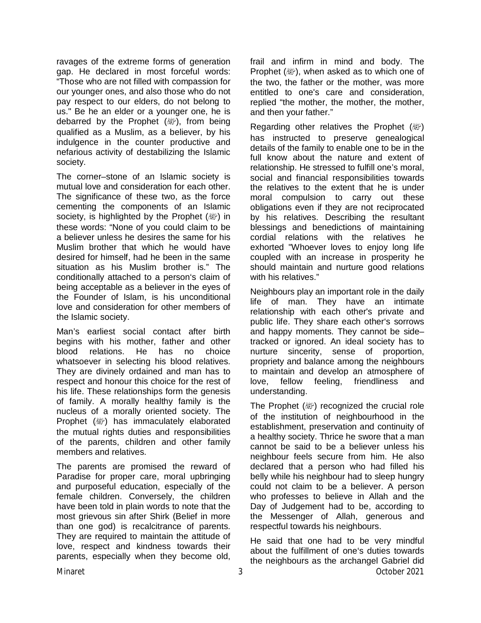ravages of the extreme forms of generation gap. He declared in most forceful words: "Those who are not filled with compassion for our younger ones, and also those who do not pay respect to our elders, do not belong to us." Be he an elder or a younger one, he is debarred by the Prophet ( $\mathbb{R}^n$ ), from being qualified as a Muslim, as a believer, by his indulgence in the counter productive and nefarious activity of destabilizing the Islamic society.

The corner–stone of an Islamic society is mutual love and consideration for each other. The significance of these two, as the force cementing the components of an Islamic society, is highlighted by the Prophet (@) in these words: "None of you could claim to be a believer unless he desires the same for his Muslim brother that which he would have desired for himself, had he been in the same situation as his Muslim brother is." The conditionally attached to a person's claim of being acceptable as a believer in the eyes of the Founder of Islam, is his unconditional love and consideration for other members of the Islamic society.

Man's earliest social contact after birth begins with his mother, father and other blood relations. He has no choice whatsoever in selecting his blood relatives. They are divinely ordained and man has to respect and honour this choice for the rest of his life. These relationships form the genesis of family. A morally healthy family is the nucleus of a morally oriented society. The Prophet ( ) has immaculately elaborated the mutual rights duties and responsibilities of the parents, children and other family members and relatives.

The parents are promised the reward of Paradise for proper care, moral upbringing and purposeful education, especially of the female children. Conversely, the children have been told in plain words to note that the most grievous sin after Shirk (Belief in more than one god) is recalcitrance of parents. They are required to maintain the attitude of love, respect and kindness towards their parents, especially when they become old,

frail and infirm in mind and body. The Prophet (, when asked as to which one of the two, the father or the mother, was more entitled to one's care and consideration, replied "the mother, the mother, the mother, and then your father."

Regarding other relatives the Prophet  $(\mathbb{Z})$ has instructed to preserve genealogical details of the family to enable one to be in the full know about the nature and extent of relationship. He stressed to fulfill one's moral, social and financial responsibilities towards the relatives to the extent that he is under moral compulsion to carry out these obligations even if they are not reciprocated by his relatives. Describing the resultant blessings and benedictions of maintaining cordial relations with the relatives he exhorted "Whoever loves to enjoy long life coupled with an increase in prosperity he should maintain and nurture good relations with his relatives."

Neighbours play an important role in the daily life of man. They have an intimate relationship with each other's private and public life. They share each other's sorrows and happy moments. They cannot be side– tracked or ignored. An ideal society has to nurture sincerity, sense of proportion, propriety and balance among the neighbours to maintain and develop an atmosphere of love, fellow feeling, friendliness and understanding.

The Prophet  $(\mathbb{Z})$  recognized the crucial role of the institution of neighbourhood in the establishment, preservation and continuity of a healthy society. Thrice he swore that a man cannot be said to be a believer unless his neighbour feels secure from him. He also declared that a person who had filled his belly while his neighbour had to sleep hungry could not claim to be a believer. A person who professes to believe in Allah and the Day of Judgement had to be, according to the Messenger of Allah, generous and respectful towards his neighbours.

Minaret 3 October 2021 He said that one had to be very mindful about the fulfillment of one's duties towards the neighbours as the archangel Gabriel did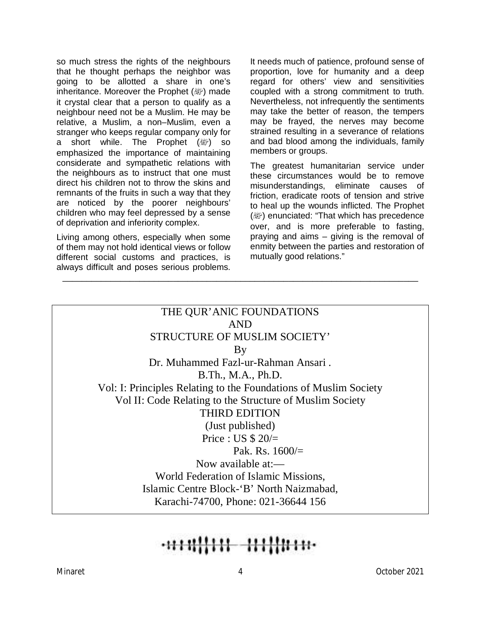so much stress the rights of the neighbours that he thought perhaps the neighbor was going to be allotted a share in one's inheritance. Moreover the Prophet (變) made it crystal clear that a person to qualify as a neighbour need not be a Muslim. He may be relative, a Muslim, a non–Muslim, even a stranger who keeps regular company only for a short while. The Prophet ( ) so emphasized the importance of maintaining considerate and sympathetic relations with the neighbours as to instruct that one must direct his children not to throw the skins and remnants of the fruits in such a way that they are noticed by the poorer neighbours' children who may feel depressed by a sense of deprivation and inferiority complex.

Living among others, especially when some of them may not hold identical views or follow different social customs and practices, is always difficult and poses serious problems.

It needs much of patience, profound sense of proportion, love for humanity and a deep regard for others' view and sensitivities coupled with a strong commitment to truth. Nevertheless, not infrequently the sentiments may take the better of reason, the tempers may be frayed, the nerves may become strained resulting in a severance of relations and bad blood among the individuals, family members or groups.

The greatest humanitarian service under these circumstances would be to remove misunderstandings, eliminate causes of friction, eradicate roots of tension and strive to heal up the wounds inflicted. The Prophet (變) enunciated: "That which has precedence over, and is more preferable to fasting, praying and aims – giving is the removal of enmity between the parties and restoration of mutually good relations."

### THE QUR'ANlC FOUNDATIONS AND STRUCTURE OF MUSLIM SOCIETY' By Dr. Muhammed Fazl-ur-Rahman Ansari . B.Th., M.A., Ph.D. Vol: I: Principles Relating to the Foundations of Muslim Society Vol II: Code Relating to the Structure of Muslim Society THIRD EDITION (Just published) Price : US  $$20/$ Pak. Rs.  $1600/$ = Now available at:— World Federation of Islamic Missions, Islamic Centre Block-'B' North Naizmabad, Karachi-74700, Phone: 021-36644 156

\_\_\_\_\_\_\_\_\_\_\_\_\_\_\_\_\_\_\_\_\_\_\_\_\_\_\_\_\_\_\_\_\_\_\_\_\_\_\_\_\_\_\_\_\_\_\_\_\_\_\_\_\_\_\_\_\_\_\_\_\_\_\_\_\_\_\_\_\_\_\_\_\_\_

##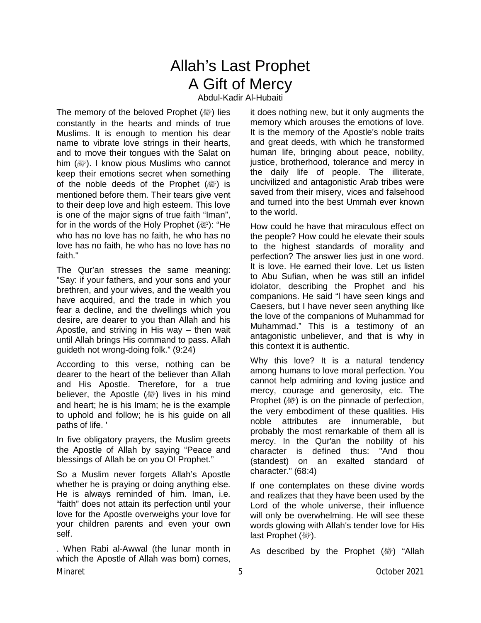### Allah's Last Prophet A Gift of Mercy

Abdul-Kadir Al-Hubaiti

The memory of the beloved Prophet (變) lies constantly in the hearts and minds of true Muslims. It is enough to mention his dear name to vibrate love strings in their hearts, and to move their tongues with the Salat on him (變). I know pious Muslims who cannot keep their emotions secret when something of the noble deeds of the Prophet  $(\mathbb{R})$  is mentioned before them. Their tears give vent to their deep love and high esteem. This love is one of the major signs of true faith "Iman", for in the words of the Holy Prophet (@"): "He who has no love has no faith, he who has no love has no faith, he who has no love has no faith."

The Qur'an stresses the same meaning: "Say: if your fathers, and your sons and your brethren, and your wives, and the wealth you have acquired, and the trade in which you fear a decline, and the dwellings which you desire, are dearer to you than Allah and his Apostle, and striving in His way – then wait until Allah brings His command to pass. Allah guideth not wrong-doing folk." (9:24)

According to this verse, nothing can be dearer to the heart of the believer than Allah and His Apostle. Therefore, for a true believer, the Apostle (<a>
(<a>
<a>
<a>
<a>
lives in his mind and heart; he is his Imam; he is the example to uphold and follow; he is his guide on all paths of life. '

In five obligatory prayers, the Muslim greets the Apostle of Allah by saying "Peace and blessings of Allah be on you O! Prophet."

So a Muslim never forgets Allah's Apostle whether he is praying or doing anything else. He is always reminded of him. Iman, i.e. "faith" does not attain its perfection until your love for the Apostle overweighs your love for your children parents and even your own self.

. When Rabi al-Awwal (the lunar month in which the Apostle of Allah was born) comes,

it does nothing new, but it only augments the memory which arouses the emotions of love. It is the memory of the Apostle's noble traits and great deeds, with which he transformed human life, bringing about peace, nobility, justice, brotherhood, tolerance and mercy in the daily life of people. The illiterate, uncivilized and antagonistic Arab tribes were saved from their misery, vices and falsehood and turned into the best Ummah ever known to the world.

How could he have that miraculous effect on the people? How could he elevate their souls to the highest standards of morality and perfection? The answer lies just in one word. It is love. He earned their love. Let us listen to Abu Sufian, when he was still an infidel idolator, describing the Prophet and his companions. He said "l have seen kings and Caesers, but I have never seen anything like the love of the companions of Muhammad for Muhammad." This is a testimony of an antagonistic unbeliever, and that is why in this context it is authentic.

Why this love? It is a natural tendency among humans to love moral perfection. You cannot help admiring and loving justice and mercy, courage and generosity, etc. The Prophet  $(\mathbb{Z})$  is on the pinnacle of perfection, the very embodiment of these qualities. His noble attributes are innumerable, but probably the most remarkable of them all is mercy. In the Qur'an the nobility of his character is defined thus: "And thou (standest) on an exalted standard of character." (68:4)

If one contemplates on these divine words and realizes that they have been used by the Lord of the whole universe, their influence will only be overwhelming. He will see these words glowing with Allah's tender love for His last Prophet (*剛*).

As described by the Prophet (@) "Allah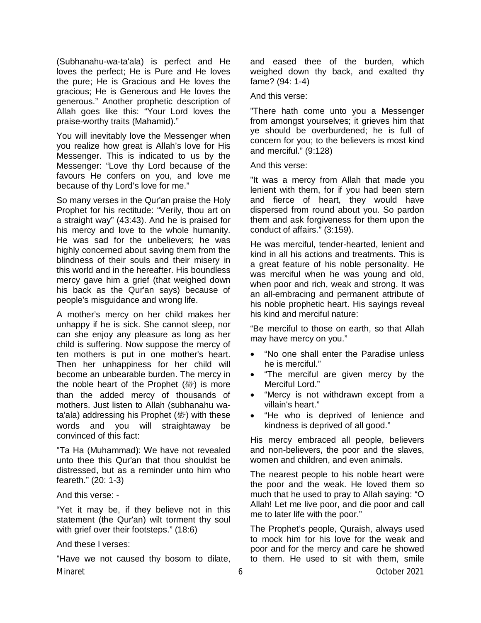(Subhanahu-wa-ta'ala) is perfect and He loves the perfect; He is Pure and He loves the pure; He is Gracious and He loves the gracious; He is Generous and He loves the generous." Another prophetic description of Allah goes like this: "Your Lord loves the praise-worthy traits (Mahamid)."

You will inevitably love the Messenger when you realize how great is Allah's love for His Messenger. This is indicated to us by the Messenger: "Love thy Lord because of the favours He confers on you, and love me because of thy Lord's love for me."

So many verses in the Qur'an praise the Holy Prophet for his rectitude: "Verily, thou art on a straight way" (43:43). And he is praised for his mercy and love to the whole humanity. He was sad for the unbelievers; he was highly concerned about saving them from the blindness of their souls and their misery in this world and in the hereafter. His boundless mercy gave him a grief (that weighed down his back as the Qur'an says) because of people's misguidance and wrong life.

A mother's mercy on her child makes her unhappy if he is sick. She cannot sleep, nor can she enjoy any pleasure as long as her child is suffering. Now suppose the mercy of ten mothers is put in one mother's heart. Then her unhappiness for her child will become an unbearable burden. The mercy in the noble heart of the Prophet  $(\mathbb{R})$  is more than the added mercy of thousands of mothers. Just listen to Allah (subhanahu wata'ala) addressing his Prophet (@) with these words and you will straightaway be convinced of this fact:

"Ta Ha (Muhammad): We have not revealed unto thee this Qur'an that thou shouldst be distressed, but as a reminder unto him who feareth." (20: 1-3)

And this verse: -

"Yet it may be, if they believe not in this statement (the Qur'an) wilt torment thy soul with grief over their footsteps." (18:6)

#### And these l verses:

Minaret 6 October 2021 "Have we not caused thy bosom to dilate,

and eased thee of the burden, which weighed down thy back, and exalted thy fame? (94: 1-4)

And this verse:

"There hath come unto you a Messenger from amongst yourselves; it grieves him that ye should be overburdened; he is full of concern for you; to the believers is most kind and merciful." (9:128)

And this verse:

"It was a mercy from Allah that made you lenient with them, for if you had been stern and fierce of heart, they would have dispersed from round about you. So pardon them and ask forgiveness for them upon the conduct of affairs." (3:159).

He was merciful, tender-hearted, lenient and kind in all his actions and treatments. This is a great feature of his noble personality. He was merciful when he was young and old, when poor and rich, weak and strong. It was an all-embracing and permanent attribute of his noble prophetic heart. His sayings reveal his kind and merciful nature:

"Be merciful to those on earth, so that Allah may have mercy on you."

- "No one shall enter the Paradise unless he is merciful."
- "The merciful are given mercy by the Merciful Lord."
- "Mercy is not withdrawn except from a villain's heart."
- "He who is deprived of lenience and kindness is deprived of all good."

His mercy embraced all people, believers and non-believers, the poor and the slaves, women and children, and even animals.

The nearest people to his noble heart were the poor and the weak. He loved them so much that he used to pray to Allah saying: "O Allah! Let me live poor, and die poor and call me to later life with the poor."

The Prophet's people, Quraish, always used to mock him for his love for the weak and poor and for the mercy and care he showed to them. He used to sit with them, smile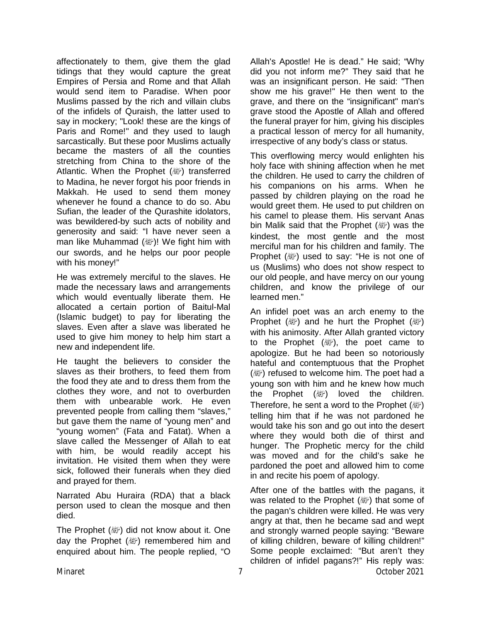affectionately to them, give them the glad tidings that they would capture the great Empires of Persia and Rome and that Allah would send item to Paradise. When poor Muslims passed by the rich and villain clubs of the infidels of Quraish, the latter used to say in mockery; "Look! these are the kings of Paris and Rome!" and they used to laugh sarcastically. But these poor Muslims actually became the masters of all the counties stretching from China to the shore of the Atlantic. When the Prophet (@) transferred to Madina, he never forgot his poor friends in Makkah. He used to send them money whenever he found a chance to do so. Abu Sufian, the leader of the Qurashite idolators, was bewildered-by such acts of nobility and generosity and said: "I have never seen a man like Muhammad ( )! We fight him with our swords, and he helps our poor people with his money!"

He was extremely merciful to the slaves. He made the necessary laws and arrangements which would eventually liberate them. He allocated a certain portion of Baitul-Mal (Islamic budget) to pay for liberating the slaves. Even after a slave was liberated he used to give him money to help him start a new and independent life.

He taught the believers to consider the slaves as their brothers, to feed them from the food they ate and to dress them from the clothes they wore, and not to overburden them with unbearable work. He even prevented people from calling them "slaves," but gave them the name of "young men" and "young women" (Fata and Fatat). When a slave called the Messenger of Allah to eat with him, be would readily accept his invitation. He visited them when they were sick, followed their funerals when they died and prayed for them.

Narrated Abu Huraira (RDA) that a black person used to clean the mosque and then died.

The Prophet (@) did not know about it. One day the Prophet (ﷺ) remembered him and enquired about him. The people replied, "O

Allah's Apostle! He is dead." He said; "Why did you not inform me?" They said that he was an insignificant person. He said: "Then show me his grave!" He then went to the grave, and there on the "insignificant" man's grave stood the Apostle of Allah and offered the funeral prayer for him, giving his disciples a practical lesson of mercy for all humanity, irrespective of any body's class or status.

This overflowing mercy would enlighten his holy face with shining affection when he met the children. He used to carry the children of his companions on his arms. When he passed by children playing on the road he would greet them. He used to put children on his camel to please them. His servant Anas bin Malik said that the Prophet (@) was the kindest, the most gentle and the most merciful man for his children and family. The Prophet ( $\mathbb{R}^n$ ) used to say: "He is not one of us (Muslims) who does not show respect to our old people, and have mercy on our young children, and know the privilege of our learned men."

An infidel poet was an arch enemy to the Prophet ( $\mathbb{R}^n$ ) and he hurt the Prophet ( $\mathbb{R}^n$ ) with his animosity. After Allah granted victory to the Prophet  $(\&$ ), the poet came to apologize. But he had been so notoriously hateful and contemptuous that the Prophet  $(\mathbb{Z})$  refused to welcome him. The poet had a young son with him and he knew how much the Prophet (變) loved the children. Therefore, he sent a word to the Prophet  $(\mathbb{Z})$ telling him that if he was not pardoned he would take his son and go out into the desert where they would both die of thirst and hunger. The Prophetic mercy for the child was moved and for the child's sake he pardoned the poet and allowed him to come in and recite his poem of apology.

Minaret 7 October 2021 After one of the battles with the pagans, it was related to the Prophet  $(\mathbb{R})$  that some of the pagan's children were killed. He was very angry at that, then he became sad and wept and strongly warned people saying: "Beware of killing children, beware of killing children!" Some people exclaimed: "But aren't they children of infidel pagans?!" His reply was: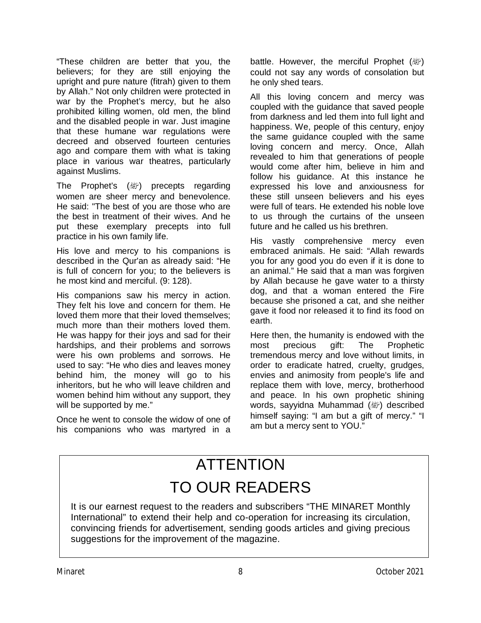"These children are better that you, the believers; for they are still enjoying the upright and pure nature (fitrah) given to them by Allah." Not only children were protected in war by the Prophet's mercy, but he also prohibited killing women, old men, the blind and the disabled people in war. Just imagine that these humane war regulations were decreed and observed fourteen centuries ago and compare them with what is taking place in various war theatres, particularly against Muslims.

The Prophet's (appthere) precepts regarding women are sheer mercy and benevolence. He said: "The best of you are those who are the best in treatment of their wives. And he put these exemplary precepts into full practice in his own family life.

His love and mercy to his companions is described in the Qur'an as already said: "He is full of concern for you; to the believers is he most kind and merciful. (9: 128).

His companions saw his mercy in action. They felt his love and concern for them. He loved them more that their loved themselves; much more than their mothers loved them. He was happy for their joys and sad for their hardships, and their problems and sorrows were his own problems and sorrows. He used to say: "He who dies and leaves money behind him, the money will go to his inheritors, but he who will leave children and women behind him without any support, they will be supported by me."

Once he went to console the widow of one of his companions who was martyred in a battle. However, the merciful Prophet (變) could not say any words of consolation but he only shed tears.

All this loving concern and mercy was coupled with the guidance that saved people from darkness and led them into full light and happiness. We, people of this century, enjoy the same guidance coupled with the same loving concern and mercy. Once, Allah revealed to him that generations of people would come after him, believe in him and follow his guidance. At this instance he expressed his love and anxiousness for these still unseen believers and his eyes were full of tears. He extended his noble love to us through the curtains of the unseen future and he called us his brethren.

His vastly comprehensive mercy even embraced animals. He said: "Allah rewards you for any good you do even if it is done to an animal." He said that a man was forgiven by Allah because he gave water to a thirsty dog, and that a woman entered the Fire because she prisoned a cat, and she neither gave it food nor released it to find its food on earth.

Here then, the humanity is endowed with the most precious gift: The Prophetic tremendous mercy and love without limits, in order to eradicate hatred, cruelty, grudges, envies and animosity from people's life and replace them with love, mercy, brotherhood and peace. In his own prophetic shining words, sayyidna Muhammad (صلى الله عليه وسلم (described himself saying: "I am but a gift of mercy." "I am but a mercy sent to YOU."

# **ATTENTION** TO OUR READERS

It is our earnest request to the readers and subscribers "THE MINARET Monthly International" to extend their help and co-operation for increasing its circulation, convincing friends for advertisement, sending goods articles and giving precious suggestions for the improvement of the magazine.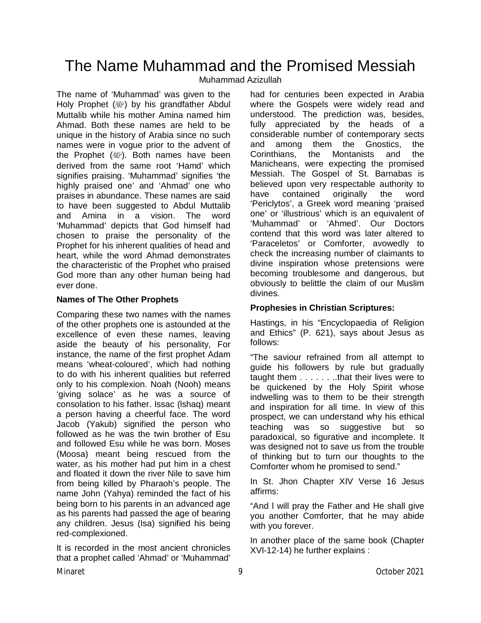### The Name Muhammad and the Promised Messiah

Muhammad Azizullah

The name of 'Muhammad' was given to the Holy Prophet (ﷺ) by his grandfather Abdul Muttalib while his mother Amina named him Ahmad. Both these names are held to be unique in the history of Arabia since no such names were in vogue prior to the advent of the Prophet ( ). Both names have been derived from the same root 'Hamd' which signifies praising. 'Muhammad' signifies 'the highly praised one' and 'Ahmad' one who praises in abundance. These names are said to have been suggested to Abdul Muttalib and Amina in a vision. The word 'Muhammad' depicts that God himself had chosen to praise the personality of the Prophet for his inherent qualities of head and heart, while the word Ahmad demonstrates the characteristic of the Prophet who praised God more than any other human being had ever done.

#### **Names of The Other Prophets**

Comparing these two names with the names of the other prophets one is astounded at the excellence of even these names, leaving aside the beauty of his personality, For instance, the name of the first prophet Adam means 'wheat-coloured', which had nothing to do with his inherent qualities but referred only to his complexion. Noah (Nooh) means 'giving solace' as he was a source of consolation to his father. Issac (lshaq) meant a person having a cheerful face. The word Jacob (Yakub) signified the person who followed as he was the twin brother of Esu and followed Esu while he was born. Moses (Moosa) meant being rescued from the water, as his mother had put him in a chest and floated it down the river Nile to save him from being killed by Pharaoh's people. The name John (Yahya) reminded the fact of his being born to his parents in an advanced age as his parents had passed the age of bearing any children. Jesus (Isa) signified his being red-complexioned.

It is recorded in the most ancient chronicles that a prophet called 'Ahmad' or 'Muhammad'

had for centuries been expected in Arabia where the Gospels were widely read and understood. The prediction was, besides, fully appreciated by the heads of a considerable number of contemporary sects and among them the Gnostics, the Corinthians, the Montanists and the Manicheans, were expecting the promised Messiah. The Gospel of St. Barnabas is believed upon very respectable authority to have contained originally the word 'Periclytos', a Greek word meaning 'praised one' or 'illustrious' which is an equivalent of 'Muhammad' or 'Ahmed'. Our Doctors contend that this word was later altered to 'Paraceletos' or Comforter, avowedly to check the increasing number of claimants to divine inspiration whose pretensions were becoming troublesome and dangerous, but obviously to belittle the claim of our Muslim divines.

#### **Prophesies in Christian Scriptures:**

Hastings, in his "Encyclopaedia of Religion and Ethics" (P. 621), says about Jesus as follows:

"The saviour refrained from all attempt to guide his followers by rule but gradually taught them . . . . . . ..that their lives were to be quickened by the Holy Spirit whose indwelling was to them to be their strength and inspiration for all time. In view of this prospect, we can understand why his ethical teaching was so suggestive but so paradoxical, so figurative and incomplete. It was designed not to save us from the trouble of thinking but to turn our thoughts to the Comforter whom he promised to send."

In St. Jhon Chapter XIV Verse 16 Jesus affirms:

"And l will pray the Father and He shall give you another Comforter, that he may abide with you forever.

In another place of the same book (Chapter XVl-12-14) he further explains :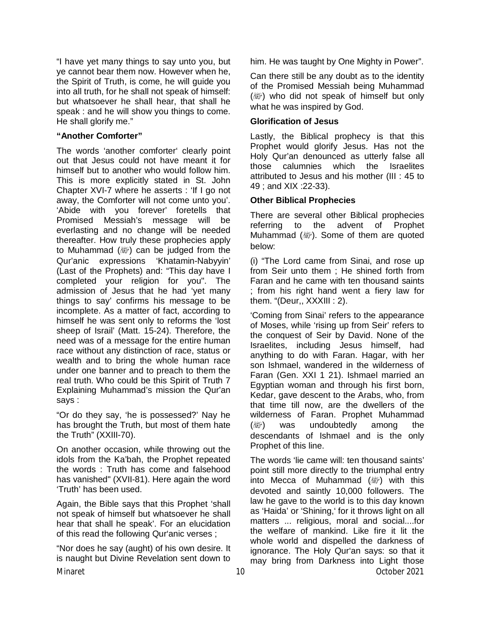"I have yet many things to say unto you, but ye cannot bear them now. However when he, the Spirit of Truth, is come, he will guide you into all truth, for he shall not speak of himself: but whatsoever he shall hear, that shall he speak : and he will show you things to come. He shall glorify me."

#### **"Another Comforter"**

The words 'another comforter' clearly point out that Jesus could not have meant it for himself but to another who would follow him. This is more explicitly stated in St. John Chapter XVI-7 where he asserts : 'If I go not away, the Comforter will not come unto you'. 'Abide with you forever' foretells that Promised Messiah's message will be everlasting and no change will be needed thereafter. How truly these prophecies apply to Muhammad  $(\mathbb{R})$  can be judged from the Qur'anic expressions 'Khatamin-Nabyyin' (Last of the Prophets) and: "This day have I completed your religion for you". The admission of Jesus that he had 'yet many things to say' confirms his message to be incomplete. As a matter of fact, according to himself he was sent only to reforms the 'lost sheep of Israil' (Matt. 15-24). Therefore, the need was of a message for the entire human race without any distinction of race, status or wealth and to bring the whole human race under one banner and to preach to them the real truth. Who could be this Spirit of Truth 7 Explaining Muhammad's mission the Qur'an says :

"Or do they say, 'he is possessed?' Nay he has brought the Truth, but most of them hate the Truth" (XXIII-70).

On another occasion, while throwing out the idols from the Ka'bah, the Prophet repeated the words : Truth has come and falsehood has vanished" (XVII-81). Here again the word 'Truth' has been used.

Again, the Bible says that this Prophet 'shall not speak of himself but whatsoever he shall hear that shall he speak'. For an elucidation of this read the following Qur'anic verses ;

Minaret 10 October 2021 "Nor does he say (aught) of his own desire. It is naught but Divine Revelation sent down to

him. He was taught by One Mighty in Power".

Can there still be any doubt as to the identity of the Promised Messiah being Muhammad ( $\mathbb{R}^n$ ) who did not speak of himself but only what he was inspired by God.

#### **Glorification of Jesus**

Lastly, the Biblical prophecy is that this Prophet would glorify Jesus. Has not the Holy Qur'an denounced as utterly false all those calumnies which the Israelites attributed to Jesus and his mother (III : 45 to 49 ; and XIX :22-33).

#### **Other Biblical Prophecies**

There are several other Biblical prophecies referring to the advent of Prophet Muhammad (, ). Some of them are quoted below:

(i) "The Lord came from Sinai, and rose up from Seir unto them ; He shined forth from Faran and he came with ten thousand saints ; from his right hand went a fiery law for them. "(Deur,, XXXIII : 2).

'Coming from Sinai' refers to the appearance of Moses, while 'rising up from Seir' refers to the conquest of Seir by David. None of the Israelites, including Jesus himself, had anything to do with Faran. Hagar, with her son Ishmael, wandered in the wilderness of Faran (Gen. XXI 1 21). Ishmael married an Egyptian woman and through his first born, Kedar, gave descent to the Arabs, who, from that time till now, are the dwellers of the wilderness of Faran. Prophet Muhammad  $(\&)$  was undoubtedly among the descendants of Ishmael and is the only Prophet of this line.

The words 'lie came will: ten thousand saints' point still more directly to the triumphal entry into Mecca of Muhammad ( ) with this devoted and saintly 10,000 followers. The law he gave to the world is to this day known as 'Haida' or 'Shining,' for it throws light on all matters ... religious, moral and social....for the welfare of mankind. Like fire it lit the whole world and dispelled the darkness of ignorance. The Holy Qur'an says: so that it may bring from Darkness into Light those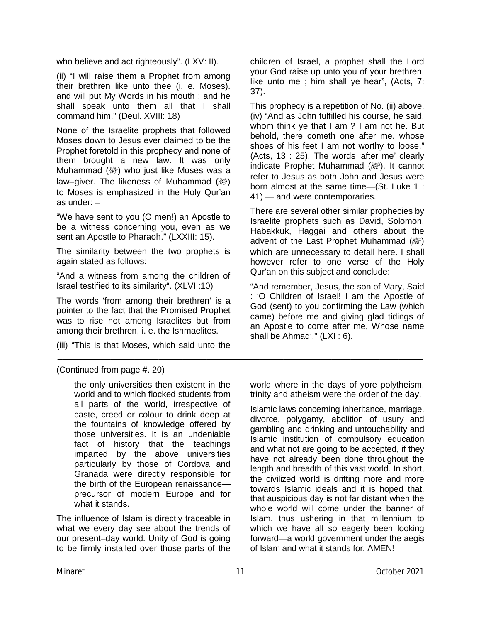who believe and act righteously". (LXV: II).

(ii) "I will raise them a Prophet from among their brethren like unto thee (i. e. Moses). and will put My Words in his mouth : and he shall speak unto them all that I shall command him." (Deul. XVIII: 18)

None of the Israelite prophets that followed Moses down to Jesus ever claimed to be the Prophet foretold in this prophecy and none of them brought a new law. It was only Muhammad (, who just like Moses was a law–giver. The likeness of Muhammad ( ) to Moses is emphasized in the Holy Qur'an as under: –

"We have sent to you (O men!) an Apostle to be a witness concerning you, even as we sent an Apostle to Pharaoh." (LXXIII: 15).

The similarity between the two prophets is again stated as follows:

"And a witness from among the children of Israel testified to its similarity". (XLVI :10)

The words 'from among their brethren' is a pointer to the fact that the Promised Prophet was to rise not among Israelites but from among their brethren, i. e. the Ishmaelites.

(iii) "This is that Moses, which said unto the

(Continued from page #. 20)

the only universities then existent in the world and to which flocked students from all parts of the world, irrespective of caste, creed or colour to drink deep at the fountains of knowledge offered by those universities. It is an undeniable fact of history that the teachings imparted by the above universities particularly by those of Cordova and Granada were directly responsible for the birth of the European renaissance precursor of modern Europe and for what it stands.

The influence of Islam is directly traceable in what we every day see about the trends of our present–day world. Unity of God is going to be firmly installed over those parts of the children of Israel, a prophet shall the Lord your God raise up unto you of your brethren, like unto me ; him shall ye hear", (Acts, 7: 37).

This prophecy is a repetition of No. (ii) above. (iv) "And as John fulfilled his course, he said, whom think ye that I am? I am not he. But behold, there cometh one after me. whose shoes of his feet I am not worthy to loose." (Acts, 13 : 25). The words 'after me' clearly indicate Prophet Muhammad (變). It cannot refer to Jesus as both John and Jesus were born almost at the same time—(St. Luke 1 : 41) — and were contemporaries.

There are several other similar prophecies by Israelite prophets such as David, Solomon, Habakkuk, Haggai and others about the advent of the Last Prophet Muhammad (ﷺ) which are unnecessary to detail here. I shall however refer to one verse of the Holy Qur'an on this subject and conclude:

"And remember, Jesus, the son of Mary, Said : 'O Children of Israel! I am the Apostle of God (sent) to you confirming the Law (which came) before me and giving glad tidings of an Apostle to come after me, Whose name shall be Ahmad'." (LXI : 6).

world where in the days of yore polytheism, trinity and atheism were the order of the day.

Islamic laws concerning inheritance, marriage, divorce, polygamy, abolition of usury and gambling and drinking and untouchability and Islamic institution of compulsory education and what not are going to be accepted, if they have not already been done throughout the length and breadth of this vast world. In short, the civilized world is drifting more and more towards Islamic ideals and it is hoped that, that auspicious day is not far distant when the whole world will come under the banner of Islam, thus ushering in that millennium to which we have all so eagerly been looking forward—a world government under the aegis of Islam and what it stands for. AMEN!

\_\_\_\_\_\_\_\_\_\_\_\_\_\_\_\_\_\_\_\_\_\_\_\_\_\_\_\_\_\_\_\_\_\_\_\_\_\_\_\_\_\_\_\_\_\_\_\_\_\_\_\_\_\_\_\_\_\_\_\_\_\_\_\_\_\_\_\_\_\_\_\_\_\_\_\_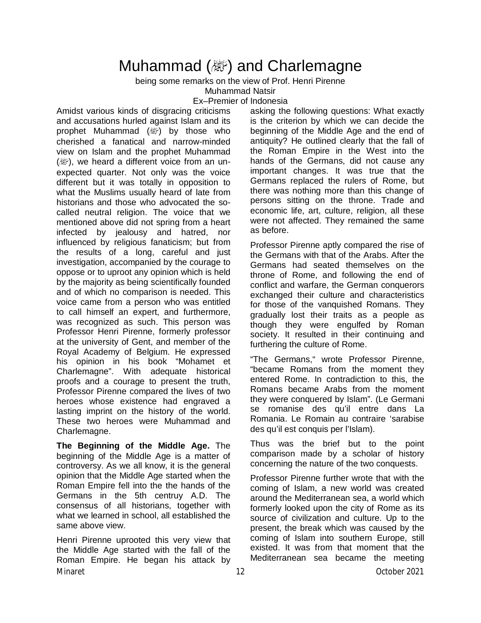## **Muhammad (ﷺ) and Charlemagne**

being some remarks on the view of Prof. Henri Pirenne Muhammad Natsir

Ex–Premier of Indonesia

Amidst various kinds of disgracing criticisms and accusations hurled against Islam and its prophet Muhammad  $(\&$ ) by those who cherished a fanatical and narrow-minded view on Islam and the prophet Muhammad ( $\mathbb{R}^n$ ), we heard a different voice from an unexpected quarter. Not only was the voice different but it was totally in opposition to what the Muslims usually heard of late from historians and those who advocated the socalled neutral religion. The voice that we mentioned above did not spring from a heart infected by jealousy and hatred, nor influenced by religious fanaticism; but from the results of a long, careful and just investigation, accompanied by the courage to oppose or to uproot any opinion which is held by the majority as being scientifically founded and of which no comparison is needed. This voice came from a person who was entitled to call himself an expert, and furthermore, was recognized as such. This person was Professor Henri Pirenne, formerly professor at the university of Gent, and member of the Royal Academy of Belgium. He expressed his opinion in his book "Mohamet et Charlemagne". With adequate historical proofs and a courage to present the truth, Professor Pirenne compared the lives of two heroes whose existence had engraved a lasting imprint on the history of the world. These two heroes were Muhammad and Charlemagne.

**The Beginning of the Middle Age.** The beginning of the Middle Age is a matter of controversy. As we all know, it is the general opinion that the Middle Age started when the Roman Empire fell into the the hands of the Germans in the 5th centruy A.D. The consensus of all historians, together with what we learned in school, all established the same above view.

Minaret 12 October 2021 Henri Pirenne uprooted this very view that the Middle Age started with the fall of the Roman Empire. He began his attack by

asking the following questions: What exactly is the criterion by which we can decide the beginning of the Middle Age and the end of antiquity? He outlined clearly that the fall of the Roman Empire in the West into the hands of the Germans, did not cause any important changes. It was true that the Germans replaced the rulers of Rome, but there was nothing more than this change of persons sitting on the throne. Trade and economic life, art, culture, religion, all these were not affected. They remained the same as before.

Professor Pirenne aptly compared the rise of the Germans with that of the Arabs. After the Germans had seated themselves on the throne of Rome, and following the end of conflict and warfare, the German conquerors exchanged their culture and characteristics for those of the vanquished Romans. They gradually lost their traits as a people as though they were engulfed by Roman society. It resulted in their continuing and furthering the culture of Rome.

"The Germans," wrote Professor Pirenne, "became Romans from the moment they entered Rome. In contradiction to this, the Romans became Arabs from the moment they were conquered by Islam". (Le Germani se romanise des qu'il entre dans La Romania. Le Romain au contraire 'sarabise des qu'il est conquis per l'Islam).

Thus was the brief but to the point comparison made by a scholar of history concerning the nature of the two conquests.

Professor Pirenne further wrote that with the coming of Islam, a new world was created around the Mediterranean sea, a world which formerly looked upon the city of Rome as its source of civilization and culture. Up to the present, the break which was caused by the coming of Islam into southern Europe, still existed. It was from that moment that the Mediterranean sea became the meeting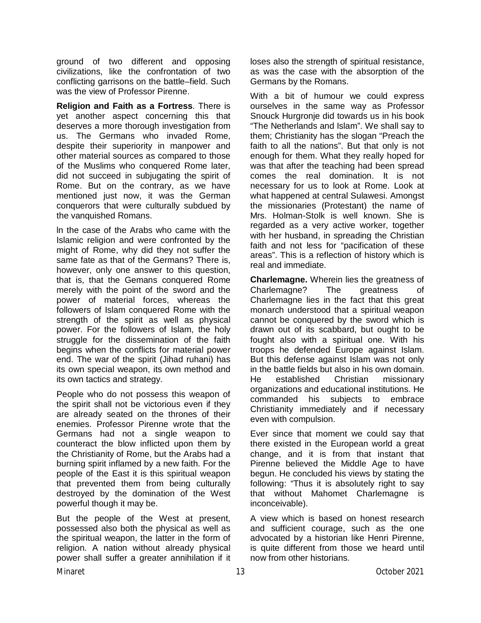ground of two different and opposing civilizations, like the confrontation of two conflicting garrisons on the battle–field. Such was the view of Professor Pirenne.

**Religion and Faith as a Fortress**. There is yet another aspect concerning this that deserves a more thorough investigation from us. The Germans who invaded Rome, despite their superiority in manpower and other material sources as compared to those of the Muslims who conquered Rome later, did not succeed in subjugating the spirit of Rome. But on the contrary, as we have mentioned just now, it was the German conquerors that were culturally subdued by the vanquished Romans.

ln the case of the Arabs who came with the Islamic religion and were confronted by the might of Rome, why did they not suffer the same fate as that of the Germans? There is, however, only one answer to this question, that is, that the Gemans conquered Rome merely with the point of the sword and the power of material forces, whereas the followers of Islam conquered Rome with the strength of the spirit as well as physical power. For the followers of Islam, the holy struggle for the dissemination of the faith begins when the conflicts for material power end. The war of the spirit (Jihad ruhani) has its own special weapon, its own method and its own tactics and strategy.

People who do not possess this weapon of the spirit shall not be victorious even if they are already seated on the thrones of their enemies. Professor Pirenne wrote that the Germans had not a single weapon to counteract the blow inflicted upon them by the Christianity of Rome, but the Arabs had a burning spirit inflamed by a new faith. For the people of the East it is this spiritual weapon that prevented them from being culturally destroyed by the domination of the West powerful though it may be.

But the people of the West at present, possessed also both the physical as well as the spiritual weapon, the latter in the form of religion. A nation without already physical power shall suffer a greater annihilation if it

loses also the strength of spiritual resistance, as was the case with the absorption of the Germans by the Romans.

With a bit of humour we could express ourselves in the same way as Professor Snouck Hurgronje did towards us in his book "The Netherlands and Islam". We shall say to them; Christianity has the slogan "Preach the faith to all the nations". But that only is not enough for them. What they really hoped for was that after the teaching had been spread comes the real domination. It is not necessary for us to look at Rome. Look at what happened at central Sulawesi. Amongst the missionaries (Protestant) the name of Mrs. Holman-Stolk is well known. She is regarded as a very active worker, together with her husband, in spreading the Christian faith and not less for "pacification of these areas". This is a reflection of history which is real and immediate.

**Charlemagne.** Wherein lies the greatness of Charlemagne? The greatness of Charlemagne lies in the fact that this great monarch understood that a spiritual weapon cannot be conquered by the sword which is drawn out of its scabbard, but ought to be fought also with a spiritual one. With his troops he defended Europe against Islam. But this defense against Islam was not only in the battle fields but also in his own domain. He established Christian missionary organizations and educational institutions. He commanded his subjects to embrace Christianity immediately and if necessary even with compulsion.

Ever since that moment we could say that there existed in the European world a great change, and it is from that instant that Pirenne believed the Middle Age to have begun. He concluded his views by stating the following: "Thus it is absolutely right to say that without Mahomet Charlemagne is inconceivable).

A view which is based on honest research and sufficient courage, such as the one advocated by a historian like Henri Pirenne, is quite different from those we heard until now from other historians.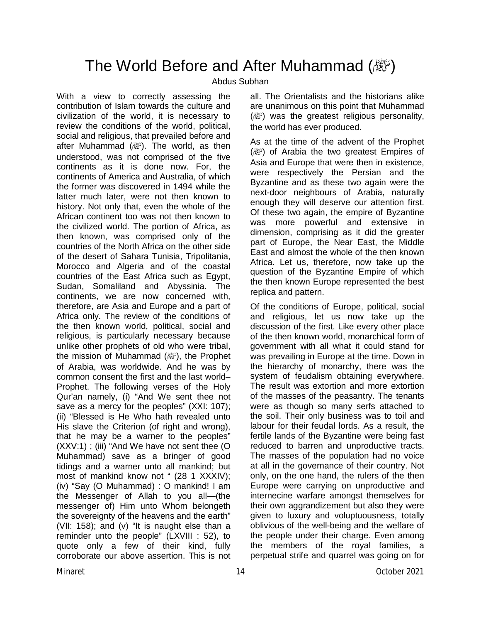### The World Before and After Muhammad (*機*)

#### Abdus Subhan

With a view to correctly assessing the contribution of Islam towards the culture and civilization of the world, it is necessary to review the conditions of the world, political, social and religious, that prevailed before and after Muhammad ( ). The world, as then understood, was not comprised of the five continents as it is done now. For, the continents of America and Australia, of which the former was discovered in 1494 while the latter much later, were not then known to history. Not only that, even the whole of the African continent too was not then known to the civilized world. The portion of Africa, as then known, was comprised only of the countries of the North Africa on the other side of the desert of Sahara Tunisia, Tripolitania, Morocco and Algeria and of the coastal countries of the East Africa such as Egypt, Sudan, Somaliland and Abyssinia. The continents, we are now concerned with, therefore, are Asia and Europe and a part of Africa only. The review of the conditions of the then known world, political, social and religious, is particularly necessary because unlike other prophets of old who were tribal, the mission of Muhammad (, i), the Prophet of Arabia, was worldwide. And he was by common consent the first and the last world– Prophet. The following verses of the Holy Qur'an namely, (i) "And We sent thee not save as a mercy for the peoples" (XXI: 107); (ii) "Blessed is He Who hath revealed unto His slave the Criterion (of right and wrong), that he may be a warner to the peoples" (XXV:1) ; (iii) "And We have not sent thee (O Muhammad) save as a bringer of good tidings and a warner unto all mankind; but most of mankind know not " (28 1 XXXIV); (iv) "Say (O Muhammad) : O mankind! I am the Messenger of Allah to you all—(the messenger of) Him unto Whom belongeth the sovereignty of the heavens and the earth" (VII: 158); and (v) "It is naught else than a reminder unto the people" (LXVIII : 52), to quote only a few of their kind, fully corroborate our above assertion. This is not all. The Orientalists and the historians alike are unanimous on this point that Muhammad ( $\mathbb{R}^n$ ) was the greatest religious personality, the world has ever produced.

As at the time of the advent of the Prophet (صلى الله عليه وسلم (of Arabia the two greatest Empires of Asia and Europe that were then in existence, were respectively the Persian and the Byzantine and as these two again were the next-door neighbours of Arabia, naturally enough they will deserve our attention first. Of these two again, the empire of Byzantine was more powerful and extensive in dimension, comprising as it did the greater part of Europe, the Near East, the Middle East and almost the whole of the then known Africa. Let us, therefore, now take up the question of the Byzantine Empire of which the then known Europe represented the best replica and pattern.

Of the conditions of Europe, political, social and religious, let us now take up the discussion of the first. Like every other place of the then known world, monarchical form of government with all what it could stand for was prevailing in Europe at the time. Down in the hierarchy of monarchy, there was the system of feudalism obtaining everywhere. The result was extortion and more extortion of the masses of the peasantry. The tenants were as though so many serfs attached to the soil. Their only business was to toil and labour for their feudal lords. As a result, the fertile lands of the Byzantine were being fast reduced to barren and unproductive tracts. The masses of the population had no voice at all in the governance of their country. Not only, on the one hand, the rulers of the then Europe were carrying on unproductive and internecine warfare amongst themselves for their own aggrandizement but also they were given to luxury and voluptuousness, totally oblivious of the well-being and the welfare of the people under their charge. Even among the members of the royal families, a perpetual strife and quarrel was going on for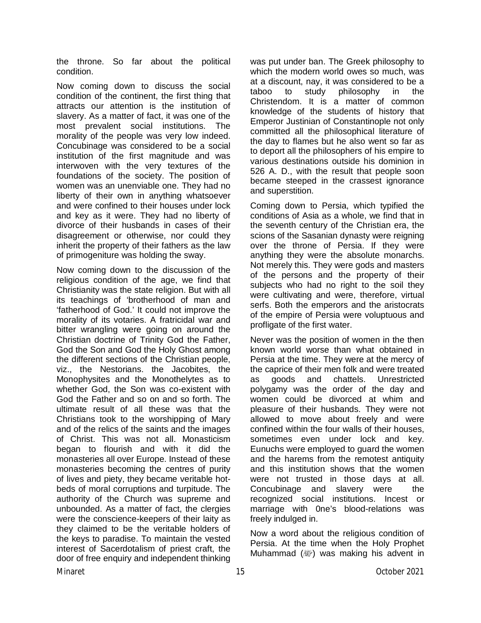the throne. So far about the political condition.

Now coming down to discuss the social condition of the continent, the first thing that attracts our attention is the institution of slavery. As a matter of fact, it was one of the most prevalent social institutions. The morality of the people was very low indeed. Concubinage was considered to be a social institution of the first magnitude and was interwoven with the very textures of the foundations of the society. The position of women was an unenviable one. They had no liberty of their own in anything whatsoever and were confined to their houses under lock and key as it were. They had no liberty of divorce of their husbands in cases of their disagreement or otherwise, nor could they inherit the property of their fathers as the law of primogeniture was holding the sway.

Now coming down to the discussion of the religious condition of the age, we find that Christianity was the state religion. But with all its teachings of 'brotherhood of man and 'fatherhood of God.' It could not improve the morality of its votaries. A fratricidal war and bitter wrangling were going on around the Christian doctrine of Trinity God the Father, God the Son and God the Holy Ghost among the different sections of the Christian people, viz., the Nestorians. the Jacobites, the Monophysites and the Monothelytes as to whether God, the Son was co-existent with God the Father and so on and so forth. The ultimate result of all these was that the Christians took to the worshipping of Mary and of the relics of the saints and the images of Christ. This was not all. Monasticism began to flourish and with it did the monasteries all over Europe. Instead of these monasteries becoming the centres of purity of lives and piety, they became veritable hotbeds of moral corruptions and turpitude. The authority of the Church was supreme and unbounded. As a matter of fact, the clergies were the conscience-keepers of their laity as they claimed to be the veritable holders of the keys to paradise. To maintain the vested interest of Sacerdotalism of priest craft, the door of free enquiry and independent thinking was put under ban. The Greek philosophy to which the modern world owes so much, was at a discount, nay, it was considered to be a taboo to study philosophy in the Christendom. It is a matter of common knowledge of the students of history that Emperor Justinian of Constantinople not only committed all the philosophical literature of the day to flames but he also went so far as to deport all the philosophers of his empire to various destinations outside his dominion in 526 A. D., with the result that people soon became steeped in the crassest ignorance and superstition.

Coming down to Persia, which typified the conditions of Asia as a whole, we find that in the seventh century of the Christian era, the scions of the Sasanian dynasty were reigning over the throne of Persia. If they were anything they were the absolute monarchs. Not merely this. They were gods and masters of the persons and the property of their subjects who had no right to the soil they were cultivating and were, therefore, virtual serfs. Both the emperors and the aristocrats of the empire of Persia were voluptuous and profligate of the first water.

Never was the position of women in the then known world worse than what obtained in Persia at the time. They were at the mercy of the caprice of their men folk and were treated as goods and chattels. Unrestricted polygamy was the order of the day and women could be divorced at whim and pleasure of their husbands. They were not allowed to move about freely and were confined within the four walls of their houses, sometimes even under lock and key. Eunuchs were employed to guard the women and the harems from the remotest antiquity and this institution shows that the women were not trusted in those days at all. Concubinage and slavery were the recognized social institutions. Incest or marriage with 0ne's blood-relations was freely indulged in.

Now a word about the religious condition of Persia. At the time when the Holy Prophet Muhammad (變) was making his advent in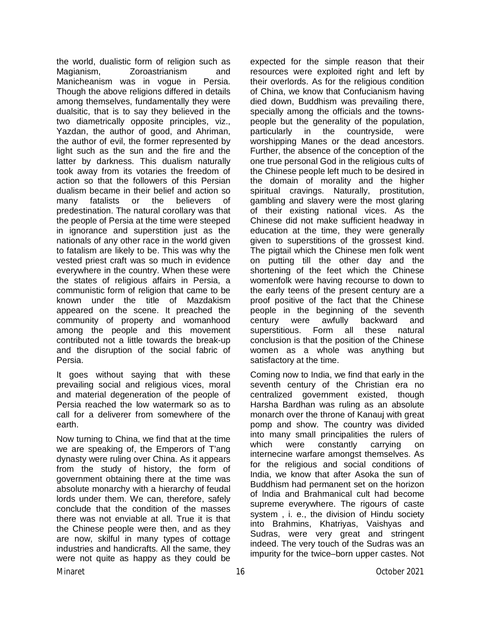the world, dualistic form of religion such as Magianism, Zoroastrianism and Manicheanism was in vogue in Persia. Though the above religions differed in details among themselves, fundamentally they were dualsitic, that is to say they believed in the two diametrically opposite principles, viz., Yazdan, the author of good, and Ahriman, the author of evil, the former represented by light such as the sun and the fire and the latter by darkness. This dualism naturally took away from its votaries the freedom of action so that the followers of this Persian dualism became in their belief and action so many fatalists or the believers of predestination. The natural corollary was that the people of Persia at the time were steeped in ignorance and superstition just as the nationals of any other race in the world given to fatalism are likely to be. This was why the vested priest craft was so much in evidence everywhere in the country. When these were the states of religious affairs in Persia, a communistic form of religion that came to be known under the title of Mazdakism appeared on the scene. It preached the community of property and womanhood among the people and this movement contributed not a little towards the break-up and the disruption of the social fabric of Persia.

It goes without saying that with these prevailing social and religious vices, moral and material degeneration of the people of Persia reached the low watermark so as to call for a deliverer from somewhere of the earth.

Minaret 16 October 2021 Now turning to China, we find that at the time we are speaking of, the Emperors of T'ang dynasty were ruling over China. As it appears from the study of history, the form of government obtaining there at the time was absolute monarchy with a hierarchy of feudal lords under them. We can, therefore, safely conclude that the condition of the masses there was not enviable at all. True it is that the Chinese people were then, and as they are now, skilful in many types of cottage industries and handicrafts. All the same, they were not quite as happy as they could be

expected for the simple reason that their resources were exploited right and left by their overlords. As for the religious condition of China, we know that Confucianism having died down, Buddhism was prevailing there, specially among the officials and the townspeople but the generality of the population, particularly in the countryside, were worshipping Manes or the dead ancestors. Further, the absence of the conception of the one true personal God in the religious cults of the Chinese people left much to be desired in the domain of morality and the higher spiritual cravings. Naturally, prostitution, gambling and slavery were the most glaring of their existing national vices. As the Chinese did not make sufficient headway in education at the time, they were generally given to superstitions of the grossest kind. The pigtail which the Chinese men folk went on putting till the other day and the shortening of the feet which the Chinese womenfolk were having recourse to down to the early teens of the present century are a proof positive of the fact that the Chinese people in the beginning of the seventh century were awfully backward and superstitious. Form all these natural conclusion is that the position of the Chinese women as a whole was anything but satisfactory at the time.

Coming now to India, we find that early in the seventh century of the Christian era no centralized government existed, though Harsha Bardhan was ruling as an absolute monarch over the throne of Kanauj with great pomp and show. The country was divided into many small principalities the rulers of which were constantly carrying on internecine warfare amongst themselves. As for the religious and social conditions of India, we know that after Asoka the sun of Buddhism had permanent set on the horizon of lndia and Brahmanical cult had become supreme everywhere. The rigours of caste system , i. e., the division of Hindu society into Brahmins, Khatriyas, Vaishyas and Sudras, were very great and stringent indeed. The very touch of the Sudras was an impurity for the twice–born upper castes. Not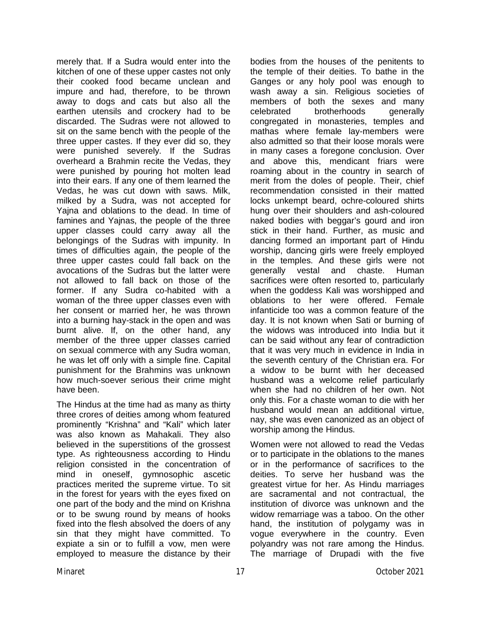merely that. If a Sudra would enter into the kitchen of one of these upper castes not only their cooked food became unclean and impure and had, therefore, to be thrown away to dogs and cats but also all the earthen utensils and crockery had to be discarded. The Sudras were not allowed to sit on the same bench with the people of the three upper castes. If they ever did so, they were punished severely. If the Sudras overheard a Brahmin recite the Vedas, they were punished by pouring hot molten lead into their ears. If any one of them learned the Vedas, he was cut down with saws. Milk, milked by a Sudra, was not accepted for Yajna and oblations to the dead. In time of famines and Yajnas, the people of the three upper classes could carry away all the belongings of the Sudras with impunity. In times of difficulties again, the people of the three upper castes could fall back on the avocations of the Sudras but the latter were not allowed to fall back on those of the former. If any Sudra co-habited with a woman of the three upper classes even with her consent or married her, he was thrown into a burning hay-stack in the open and was burnt alive. If, on the other hand, any member of the three upper classes carried on sexual commerce with any Sudra woman, he was let off only with a simple fine. Capital punishment for the Brahmins was unknown how much-soever serious their crime might have been.

The Hindus at the time had as many as thirty three crores of deities among whom featured prominently "Krishna" and "Kali" which later was also known as Mahakali. They also believed in the superstitions of the grossest type. As righteousness according to Hindu religion consisted in the concentration of mind in oneself, gymnosophic ascetic practices merited the supreme virtue. To sit in the forest for years with the eyes fixed on one part of the body and the mind on Krishna or to be swung round by means of hooks fixed into the flesh absolved the doers of any sin that they might have committed. To expiate a sin or to fulfill a vow, men were employed to measure the distance by their

bodies from the houses of the penitents to the temple of their deities. To bathe in the Ganges or any holy pool was enough to wash away a sin. Religious societies of members of both the sexes and many celebrated brotherhoods generally congregated in monasteries, temples and mathas where female lay-members were also admitted so that their loose morals were in many cases a foregone conclusion. Over and above this, mendicant friars were roaming about in the country in search of merit from the doles of people. Their, chief recommendation consisted in their matted locks unkempt beard, ochre-coloured shirts hung over their shoulders and ash-coloured naked bodies with beggar's gourd and iron stick in their hand. Further, as music and dancing formed an important part of Hindu worship, dancing girls were freely employed in the temples. And these girls were not generally vestal and chaste. Human sacrifices were often resorted to, particularly when the goddess Kali was worshipped and oblations to her were offered. Female infanticide too was a common feature of the day. It is not known when Sati or burning of the widows was introduced into India but it can be said without any fear of contradiction that it was very much in evidence in India in the seventh century of the Christian era. For a widow to be burnt with her deceased husband was a welcome relief particularly when she had no children of her own. Not only this. For a chaste woman to die with her husband would mean an additional virtue, nay, she was even canonized as an object of worship among the Hindus.

Women were not allowed to read the Vedas or to participate in the oblations to the manes or in the performance of sacrifices to the deities. To serve her husband was the greatest virtue for her. As Hindu marriages are sacramental and not contractual, the institution of divorce was unknown and the widow remarriage was a taboo. On the other hand, the institution of polygamy was in vogue everywhere in the country. Even polyandry was not rare among the Hindus. The marriage of Drupadi with the five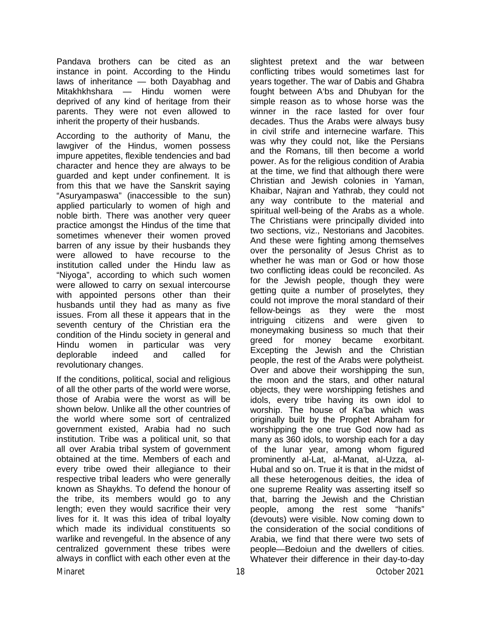Pandava brothers can be cited as an instance in point. According to the Hindu laws of inheritance — both Dayabhag and Mitakhkhshara — Hindu women were deprived of any kind of heritage from their parents. They were not even allowed to inherit the property of their husbands.

According to the authority of Manu, the lawgiver of the Hindus, women possess impure appetites, flexible tendencies and bad character and hence they are always to be guarded and kept under confinement. It is from this that we have the Sanskrit saying "Asuryampaswa" (inaccessible to the sun) applied particularly to women of high and noble birth. There was another very queer practice amongst the Hindus of the time that sometimes whenever their women proved barren of any issue by their husbands they were allowed to have recourse to the institution called under the Hindu law as "Niyoga", according to which such women were allowed to carry on sexual intercourse with appointed persons other than their husbands until they had as many as five issues. From all these it appears that in the seventh century of the Christian era the condition of the Hindu society in general and Hindu women in particular was very deplorable indeed and called for revolutionary changes.

If the conditions, political, social and religious of all the other parts of the world were worse, those of Arabia were the worst as will be shown below. Unlike all the other countries of the world where some sort of centralized government existed, Arabia had no such institution. Tribe was a political unit, so that all over Arabia tribal system of government obtained at the time. Members of each and every tribe owed their allegiance to their respective tribal leaders who were generally known as Shaykhs. To defend the honour of the tribe, its members would go to any length; even they would sacrifice their very lives for it. It was this idea of tribal loyalty which made its individual constituents so warlike and revengeful. In the absence of any centralized government these tribes were always in conflict with each other even at the

slightest pretext and the war between conflicting tribes would sometimes last for years together. The war of Dabis and Ghabra fought between A'bs and Dhubyan for the simple reason as to whose horse was the winner in the race lasted for over four decades. Thus the Arabs were always busy in civil strife and internecine warfare. This was why they could not, like the Persians and the Romans, till then become a world power. As for the religious condition of Arabia at the time, we find that although there were Christian and Jewish colonies in Yaman, Khaibar, Najran and Yathrab, they could not any way contribute to the material and spiritual well-being of the Arabs as a whole. The Christians were principally divided into two sections, viz., Nestorians and Jacobites. And these were fighting among themselves over the personality of Jesus Christ as to whether he was man or God or how those two conflicting ideas could be reconciled. As for the Jewish people, though they were getting quite a number of proselytes, they could not improve the moral standard of their fellow-beings as they were the most intriguing citizens and were given to moneymaking business so much that their greed for money became exorbitant. Excepting the Jewish and the Christian people, the rest of the Arabs were polytheist. Over and above their worshipping the sun, the moon and the stars, and other natural objects, they were worshipping fetishes and idols, every tribe having its own idol to worship. The house of Ka'ba which was originally built by the Prophet Abraham for worshipping the one true God now had as many as 360 idols, to worship each for a day of the lunar year, among whom figured prominently al-Lat, al-Manat, al-Uzza, al-Hubal and so on. True it is that in the midst of all these heterogenous deities, the idea of one supreme Reality was asserting itself so that, barring the Jewish and the Christian people, among the rest some "hanifs" (devouts) were visible. Now coming down to the consideration of the social conditions of Arabia, we find that there were two sets of people—Bedoiun and the dwellers of cities. Whatever their difference in their day-to-day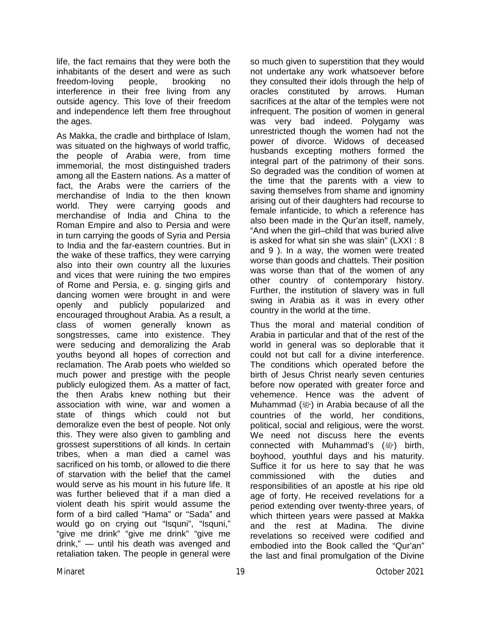life, the fact remains that they were both the inhabitants of the desert and were as such freedom-loving people, brooking no interference in their free living from any outside agency. This love of their freedom and independence left them free throughout the ages.

As Makka, the cradle and birthplace of Islam, was situated on the highways of world traffic, the people of Arabia were, from time immemorial, the most distinguished traders among all the Eastern nations. As a matter of fact, the Arabs were the carriers of the merchandise of India to the then known world. They were carrying goods and merchandise of India and China to the Roman Empire and also to Persia and were in turn carrying the goods of Syria and Persia to India and the far-eastern countries. But in the wake of these traffics, they were carrying also into their own country all the luxuries and vices that were ruining the two empires of Rome and Persia, e. g. singing girls and dancing women were brought in and were openly and publicly popularized and encouraged throughout Arabia. As a result, a class of women generally known as songstresses, came into existence. They were seducing and demoralizing the Arab youths beyond all hopes of correction and reclamation. The Arab poets who wielded so much power and prestige with the people publicly eulogized them. As a matter of fact, the then Arabs knew nothing but their association with wine, war and women a state of things which could not but demoralize even the best of people. Not only this. They were also given to gambling and grossest superstitions of all kinds. In certain tribes, when a man died a camel was sacrificed on his tomb, or allowed to die there of starvation with the belief that the camel would serve as his mount in his future life. It was further believed that if a man died a violent death his spirit would assume the form of a bird called "Hama" or "Sada" and would go on crying out "Isquni", "Isquni," "give me drink" "give me drink" "give me drink," — until his death was avenged and retaliation taken. The people in general were

so much given to superstition that they would not undertake any work whatsoever before they consulted their idols through the help of oracles constituted by arrows. Human sacrifices at the altar of the temples were not infrequent. The position of women in general was very bad indeed. Polygamy was unrestricted though the women had not the power of divorce. Widows of deceased husbands excepting mothers formed the integral part of the patrimony of their sons. So degraded was the condition of women at the time that the parents with a view to saving themselves from shame and ignominy arising out of their daughters had recourse to female infanticide, to which a reference has also been made in the Qur'an itself, namely, "And when the girl–child that was buried alive is asked for what sin she was slain" (LXXI : 8 and 9 ). In a way, the women were treated worse than goods and chattels. Their position was worse than that of the women of any other country of contemporary history. Further, the institution of slavery was in full swing in Arabia as it was in every other country in the world at the time.

Thus the moral and material condition of Arabia in particular and that of the rest of the world in general was so deplorable that it could not but call for a divine interference. The conditions which operated before the birth of Jesus Christ nearly seven centuries before now operated with greater force and vehemence. Hence was the advent of Muhammad  $(\mathbb{Z})$  in Arabia because of all the countries of the world, her conditions, political, social and religious, were the worst. We need not discuss here the events connected with Muhammad's ( 沙) birth, boyhood, youthful days and his maturity. Suffice it for us here to say that he was commissioned with the duties and responsibilities of an apostle at his ripe old age of forty. He received revelations for a period extending over twenty-three years, of which thirteen years were passed at Makka and the rest at Madina. The divine revelations so received were codified and embodied into the Book called the "Qur'an" the last and final promulgation of the Divine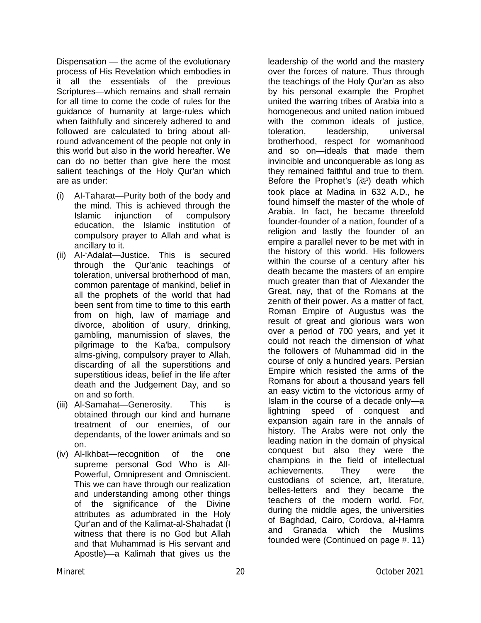Dispensation — the acme of the evolutionary process of His Revelation which embodies in it all the essentials of the previous Scriptures—which remains and shall remain for all time to come the code of rules for the guidance of humanity at large-rules which when faithfully and sincerely adhered to and followed are calculated to bring about allround advancement of the people not only in this world but also in the world hereafter. We can do no better than give here the most salient teachings of the Holy Qur'an which are as under:

- (i) AI-Taharat—Purity both of the body and the mind. This is achieved through the Islamic injunction of compulsory education, the Islamic institution of compulsory prayer to Allah and what is ancillary to it.
- (ii) AI-'Adalat—Justice. This is secured through the Qur'anic teachings of toleration, universal brotherhood of man, common parentage of mankind, belief in all the prophets of the world that had been sent from time to time to this earth from on high, law of marriage and divorce, abolition of usury, drinking, gambling, manumission of slaves, the pilgrimage to the Ka'ba, compulsory alms-giving, compulsory prayer to Allah, discarding of all the superstitions and superstitious ideas, belief in the life after death and the Judgement Day, and so on and so forth.
- (iii) Al-Samahat—Generosity. This is obtained through our kind and humane treatment of our enemies, of our dependants, of the lower animals and so on.
- (iv) Al-Ikhbat—recognition of the one supreme personal God Who is All-Powerful, Omnipresent and Omniscient. This we can have through our realization and understanding among other things of the significance of the Divine attributes as adumbrated in the Holy Qur'an and of the Kalimat-al-Shahadat (I witness that there is no God but Allah and that Muhammad is His servant and Apostle)—a Kalimah that gives us the

leadership of the world and the mastery over the forces of nature. Thus through the teachings of the Holy Qur'an as also by his personal example the Prophet united the warring tribes of Arabia into a homogeneous and united nation imbued with the common ideals of justice, toleration, leadership, universal brotherhood, respect for womanhood and so on—ideals that made them invincible and unconquerable as long as they remained faithful and true to them. Before the Prophet's  $(\mathbb{R}^p)$  death which took place at Madina in 632 A.D., he found himself the master of the whole of Arabia. In fact, he became threefold founder-founder of a nation, founder of a religion and lastly the founder of an empire a parallel never to be met with in the history of this world. His followers within the course of a century after his death became the masters of an empire much greater than that of Alexander the Great, nay, that of the Romans at the zenith of their power. As a matter of fact, Roman Empire of Augustus was the result of great and glorious wars won over a period of 700 years, and yet it could not reach the dimension of what the followers of Muhammad did in the course of only a hundred years. Persian Empire which resisted the arms of the Romans for about a thousand years fell an easy victim to the victorious army of Islam in the course of a decade only—a lightning speed of conquest and expansion again rare in the annals of history. The Arabs were not only the leading nation in the domain of physical conquest but also they were the champions in the field of intellectual achievements. They were the custodians of science, art, literature, belles-letters and they became the teachers of the modern world. For, during the middle ages, the universities of Baghdad, Cairo, Cordova, al-Hamra and Granada which the Muslims founded were (Continued on page #. 11)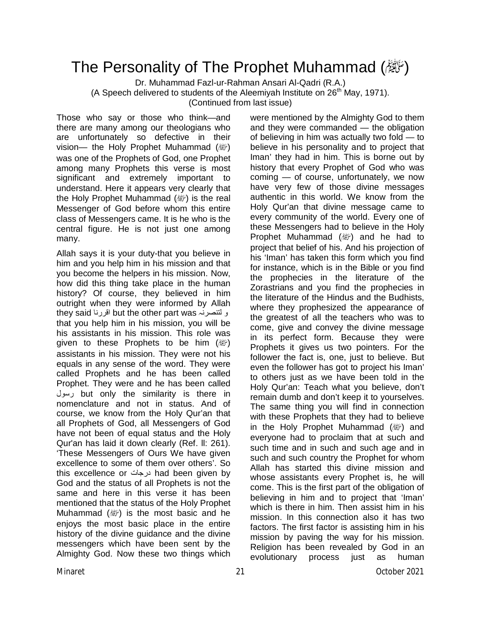## The Personality of The Prophet Muhammad (翻)

Dr. Muhammad Fazl-ur-Rahman Ansari Al-Qadri (R.A.) (A Speech delivered to students of the Aleemiyah Institute on  $26<sup>th</sup>$  May, 1971). (Continued from last issue)

Those who say or those who think—and there are many among our theologians who are unfortunately so defective in their vision— the Holy Prophet Muhammad (*剛*) was one of the Prophets of God, one Prophet among many Prophets this verse is most significant and extremely important to understand. Here it appears very clearly that the Holy Prophet Muhammad  $(\mathbb{Z})$  is the real Messenger of God before whom this entire class of Messengers came. It is he who is the central figure. He is not just one among many.

Allah says it is your duty-that you believe in him and you help him in his mission and that you become the helpers in his mission. Now, how did this thing take place in the human history? Of course, they believed in him outright when they were informed by Allah they said اقررنا but the other part was لتنصرنہ و that you help him in his mission, you will be his assistants in his mission. This role was given to these Prophets to be him  $(\mathbb{Z})$ assistants in his mission. They were not his equals in any sense of the word. They were called Prophets and he has been called Prophet. They were and he has been called رسول but only the similarity is there in nomenclature and not in status. And of course, we know from the Holy Qur'an that all Prophets of God, all Messengers of God have not been of equal status and the Holy Qur'an has laid it down clearly (Ref. ll: 261). 'These Messengers of Ours We have given excellence to some of them over others'. So this excellence or درجات had been given by God and the status of all Prophets is not the same and here in this verse it has been mentioned that the status of the Holy Prophet Muhammad  $(\mathbb{Z})$  is the most basic and he enjoys the most basic place in the entire history of the divine guidance and the divine messengers which have been sent by the Almighty God. Now these two things which were mentioned by the Almighty God to them and they were commanded — the obligation of believing in him was actually two fold — to believe in his personality and to project that Iman' they had in him. This is borne out by history that every Prophet of God who was coming — of course, unfortunately, we now have very few of those divine messages authentic in this world. We know from the Holy Qur'an that divine message came to every community of the world. Every one of these Messengers had to believe in the Holy Prophet Muhammad  $(\mathbb{Z})$  and he had to project that belief of his. And his projection of his 'Iman' has taken this form which you find for instance, which is in the Bible or you find the prophecies in the literature of the Zorastrians and you find the prophecies in the literature of the Hindus and the Budhists, where they prophesized the appearance of the greatest of all the teachers who was to come, give and convey the divine message in its perfect form. Because they were Prophets it gives us two pointers. For the follower the fact is, one, just to believe. But even the follower has got to project his Iman' to others just as we have been told in the Holy Qur'an: Teach what you believe, don't remain dumb and don't keep it to yourselves. The same thing you will find in connection with these Prophets that they had to believe in the Holy Prophet Muhammad ( ) and everyone had to proclaim that at such and such time and in such and such age and in such and such country the Prophet for whom Allah has started this divine mission and whose assistants every Prophet is, he will come. This is the first part of the obligation of believing in him and to project that 'Iman' which is there in him. Then assist him in his mission. In this connection also it has two factors. The first factor is assisting him in his mission by paving the way for his mission. Religion has been revealed by God in an evolutionary process just as human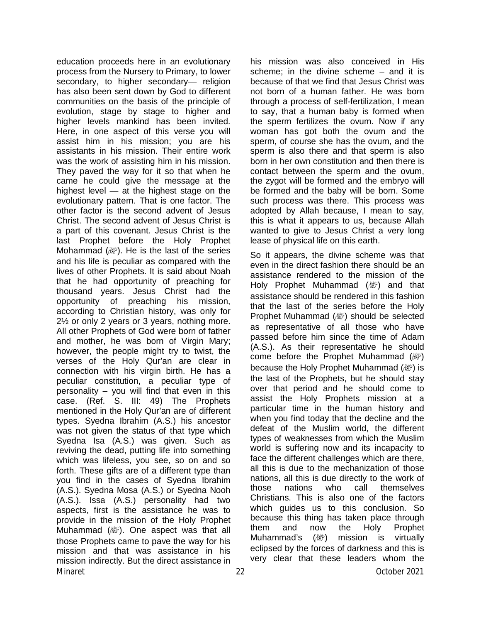Minaret 2021 Minaret 2021 22 Detober 2021 education proceeds here in an evolutionary process from the Nursery to Primary, to lower secondary, to higher secondary— religion has also been sent down by God to different communities on the basis of the principle of evolution, stage by stage to higher and higher levels mankind has been invited. Here, in one aspect of this verse you will assist him in his mission; you are his assistants in his mission. Their entire work was the work of assisting him in his mission. They paved the way for it so that when he came he could give the message at the highest level — at the highest stage on the evolutionary pattern. That is one factor. The other factor is the second advent of Jesus Christ. The second advent of Jesus Christ is a part of this covenant. Jesus Christ is the last Prophet before the Holy Prophet Mohammad ( $\mathbb{E}$ ). He is the last of the series and his life is peculiar as compared with the lives of other Prophets. It is said about Noah that he had opportunity of preaching for thousand years. Jesus Christ had the opportunity of preaching his mission, according to Christian history, was only for 2½ or only 2 years or 3 years, nothing more. All other Prophets of God were born of father and mother, he was born of Virgin Mary; however, the people might try to twist, the verses of the Holy Qur'an are clear in connection with his virgin birth. He has a peculiar constitution, a peculiar type of personality – you will find that even in this case. (Ref. S. III: 49) The Prophets mentioned in the Holy Qur'an are of different types. Syedna Ibrahim (A.S.) his ancestor was not given the status of that type which Syedna Isa (A.S.) was given. Such as reviving the dead, putting life into something which was lifeless, you see, so on and so forth. These gifts are of a different type than you find in the cases of Syedna Ibrahim (A.S.). Syedna Mosa (A.S.) or Syedna Nooh (A.S.). Issa (A.S.) personality had two aspects, first is the assistance he was to provide in the mission of the Holy Prophet Muhammad  $(\mathbb{Z})$ . One aspect was that all those Prophets came to pave the way for his mission and that was assistance in his mission indirectly. But the direct assistance in

his mission was also conceived in His scheme; in the divine scheme – and it is because of that we find that Jesus Christ was not born of a human father. He was born through a process of self-fertilization, I mean to say, that a human baby is formed when the sperm fertilizes the ovum. Now if any woman has got both the ovum and the sperm, of course she has the ovum, and the sperm is also there and that sperm is also born in her own constitution and then there is contact between the sperm and the ovum, the zygot will be formed and the embryo will be formed and the baby will be born. Some such process was there. This process was adopted by Allah because, I mean to say, this is what it appears to us, because Allah wanted to give to Jesus Christ a very long lease of physical life on this earth.

So it appears, the divine scheme was that even in the direct fashion there should be an assistance rendered to the mission of the Holy Prophet Muhammad ( ) and that assistance should be rendered in this fashion that the last of the series before the Holy Prophet Muhammad ( ) should be selected as representative of all those who have passed before him since the time of Adam (A.S.). As their representative he should come before the Prophet Muhammad  $(\mathbb{R})$ because the Holy Prophet Muhammad (a) is the last of the Prophets, but he should stay over that period and he should come to assist the Holy Prophets mission at a particular time in the human history and when you find today that the decline and the defeat of the Muslim world, the different types of weaknesses from which the Muslim world is suffering now and its incapacity to face the different challenges which are there, all this is due to the mechanization of those nations, all this is due directly to the work of those nations who call themselves Christians. This is also one of the factors which guides us to this conclusion. So because this thing has taken place through them and now the Holy Prophet Muhammad's (ﷺ) mission is virtually eclipsed by the forces of darkness and this is very clear that these leaders whom the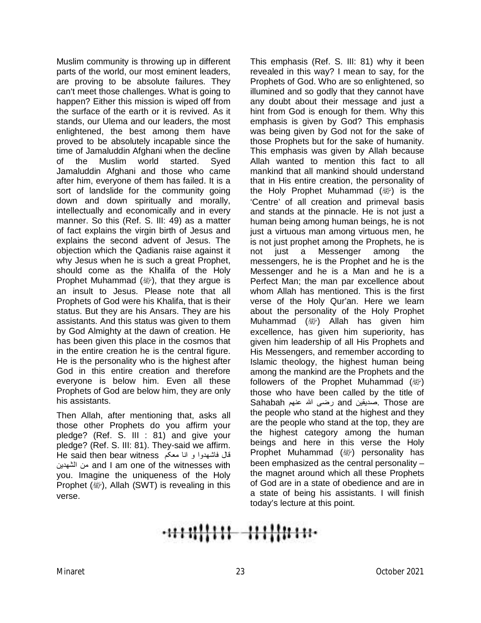Muslim community is throwing up in different parts of the world, our most eminent leaders, are proving to be absolute failures. They can't meet those challenges. What is going to happen? Either this mission is wiped off from the surface of the earth or it is revived. As it stands, our Ulema and our leaders, the most enlightened, the best among them have proved to be absolutely incapable since the time of Jamaluddin Afghani when the decline of the Muslim world started. Syed Jamaluddin Afghani and those who came after him, everyone of them has failed. It is a sort of landslide for the community going down and down spiritually and morally, intellectually and economically and in every manner. So this (Ref. S. III: 49) as a matter of fact explains the virgin birth of Jesus and explains the second advent of Jesus. The objection which the Qadianis raise against it why Jesus when he is such a great Prophet, should come as the Khalifa of the Holy Prophet Muhammad ( $\mathcal{W}$ ), that they argue is an insult to Jesus. Please note that all Prophets of God were his Khalifa, that is their status. But they are his Ansars. They are his assistants. And this status was given to them by God Almighty at the dawn of creation. He has been given this place in the cosmos that in the entire creation he is the central figure. He is the personality who is the highest after God in this entire creation and therefore everyone is below him. Even all these Prophets of God are below him, they are only his assistants.

Then Allah, after mentioning that, asks all those other Prophets do you affirm your pledge? (Ref. S. III : 81) and give your pledge? (Ref. S. III: 81). They-said we affirm. قال فاشھدوا و انا معکم He said then bear witness ھدین ٰالش من and I am one of the witnesses with you. Imagine the uniqueness of the Holy Prophet ( ), Allah (SWT) is revealing in this verse.

This emphasis (Ref. S. III: 81) why it been revealed in this way? I mean to say, for the Prophets of God. Who are so enlightened, so illumined and so godly that they cannot have any doubt about their message and just a hint from God is enough for them. Why this emphasis is given by God? This emphasis was being given by God not for the sake of those Prophets but for the sake of humanity. This emphasis was given by Allah because Allah wanted to mention this fact to all mankind that all mankind should understand that in His entire creation, the personality of the Holy Prophet Muhammad  $(\mathbb{Z})$  is the 'Centre' of all creation and primeval basis and stands at the pinnacle. He is not just a human being among human beings, he is not just a virtuous man among virtuous men, he is not just prophet among the Prophets, he is not just a Messenger among the messengers, he is the Prophet and he is the Messenger and he is a Man and he is a Perfect Man; the man par excellence about whom Allah has mentioned. This is the first verse of the Holy Qur'an. Here we learn about the personality of the Holy Prophet Muhammad ( ) Allah has given him excellence, has given him superiority, has given him leadership of all His Prophets and His Messengers, and remember according to Islamic theology, the highest human being among the mankind are the Prophets and the followers of the Prophet Muhammad (*剛*) those who have been called by the title of are Those .صدیقین and رضی الله عنھم Sahabah the people who stand at the highest and they are the people who stand at the top, they are the highest category among the human beings and here in this verse the Holy Prophet Muhammad (صلى الله عليه وسلم (personality has been emphasized as the central personality – the magnet around which all these Prophets of God are in a state of obedience and are in a state of being his assistants. I will finish today's lecture at this point.

# -<del>0111||111 111||11110</del>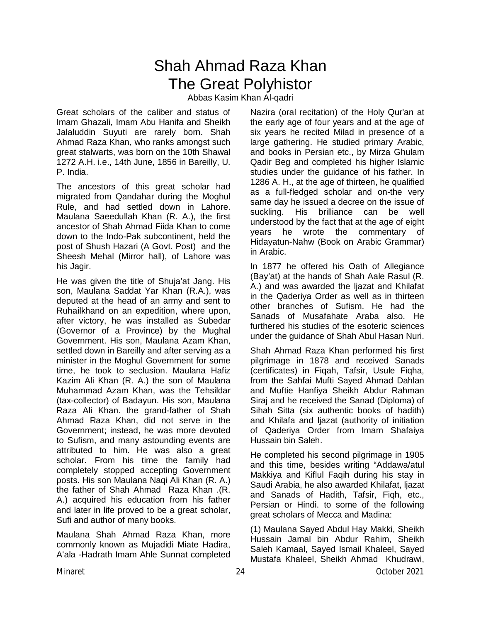### Shah Ahmad Raza Khan The Great Polyhistor

Abbas Kasim Khan Al-qadri

Great scholars of the caliber and status of Imam Ghazali, Imam Abu Hanifa and Sheikh Jalaluddin Suyuti are rarely born. Shah Ahmad Raza Khan, who ranks amongst such great stalwarts, was born on the 10th Shawal 1272 A.H. i.e., 14th June, 1856 in Bareilly, U. P. India.

The ancestors of this great scholar had migrated from Qandahar during the Moghul Rule, and had settled down in Lahore. Maulana Saeedullah Khan (R. A.), the first ancestor of Shah Ahmad Fiida Khan to come down to the Indo-Pak subcontinent, held the post of Shush Hazari (A Govt. Post) and the Sheesh Mehal (Mirror hall), of Lahore was his Jagir.

He was given the title of Shuja'at Jang. His son, Maulana Saddat Yar Khan (R.A.), was deputed at the head of an army and sent to Ruhailkhand on an expedition, where upon, after victory, he was installed as Subedar (Governor of a Province) by the Mughal Government. His son, Maulana Azam Khan, settled down in Bareilly and after serving as a minister in the Moghul Government for some time, he took to seclusion. Maulana Hafiz Kazim Ali Khan (R. A.) the son of Maulana Muhammad Azam Khan, was the Tehsildar (tax-collector) of Badayun. His son, Maulana Raza Ali Khan. the grand-father of Shah Ahmad Raza Khan, did not serve in the Government; instead, he was more devoted to Sufism, and many astounding events are attributed to him. He was also a great scholar. From his time the family had completely stopped accepting Government posts. His son Maulana Naqi Ali Khan (R. A.) the father of Shah Ahmad Raza Khan .(R. A.) acquired his education from his father and later in life proved to be a great scholar, Sufi and author of many books.

Maulana Shah Ahmad Raza Khan, more commonly known as Mujadidi Miate Hadira, A'ala -Hadrath Imam Ahle Sunnat completed Nazira (oral recitation) of the Holy Qur'an at the early age of four years and at the age of six years he recited Milad in presence of a large gathering. He studied primary Arabic, and books in Persian etc., by Mirza Ghulam Qadir Beg and completed his higher Islamic studies under the guidance of his father. In 1286 A. H., at the age of thirteen, he qualified as a full-fledged scholar and on-the very same day he issued a decree on the issue of suckling. His brilliance can be well understood by the fact that at the age of eight years he wrote the commentary of Hidayatun-Nahw (Book on Arabic Grammar) in Arabic.

In 1877 he offered his Oath of Allegiance (Bay'at) at the hands of Shah Aale Rasul (R. A.) and was awarded the ljazat and Khilafat in the Qaderiya Order as well as in thirteen other branches of Sufism. He had the Sanads of Musafahate Araba also. He furthered his studies of the esoteric sciences under the guidance of Shah Abul Hasan Nuri.

Shah Ahmad Raza Khan performed his first pilgrimage in 1878 and received Sanads (certificates) in Fiqah, Tafsir, Usule Fiqha, from the Sahfai Mufti Sayed Ahmad Dahlan and Muftie Hanfiya Sheikh Abdur Rahman Siraj and he received the Sanad (Diploma) of Sihah Sitta (six authentic books of hadith) and Khilafa and ljazat (authority of initiation of Qaderiya Order from Imam Shafaiya Hussain bin Saleh.

He completed his second pilgrimage in 1905 and this time, besides writing "Addawa/atul Makkiya and Kiflul Faqih during his stay in Saudi Arabia, he also awarded Khilafat, ljazat and Sanads of Hadith, Tafsir, Fiqh, etc., Persian or Hindi. to some of the following great scholars of Mecca and Madina:

(1) Maulana Sayed Abdul Hay Makki, Sheikh Hussain Jamal bin Abdur Rahim, Sheikh Saleh Kamaal, Sayed Ismail Khaleel, Sayed Mustafa Khaleel, Sheikh Ahmad Khudrawi,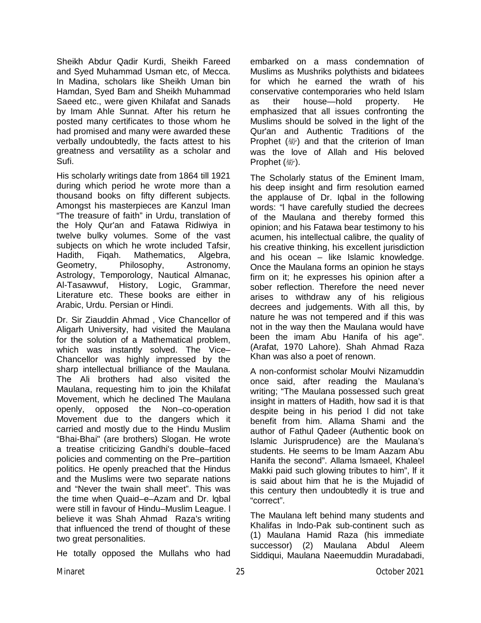Sheikh Abdur Qadir Kurdi, Sheikh Fareed and Syed Muhammad Usman etc, of Mecca. In Madina, scholars like Sheikh Uman bin Hamdan, Syed Bam and Sheikh Muhammad Saeed etc., were given Khilafat and Sanads by Imam Ahle Sunnat. After his return he posted many certificates to those whom he had promised and many were awarded these verbally undoubtedly, the facts attest to his greatness and versatility as a scholar and Sufi.

His scholarly writings date from 1864 till 1921 during which period he wrote more than a thousand books on fifty different subjects. Amongst his masterpieces are Kanzul Iman "The treasure of faith" in Urdu, translation of the Holy Qur'an and Fatawa Ridiwiya in twelve bulky volumes. Some of the vast subjects on which he wrote included Tafsir, Hadith, Fiqah. Mathematics, Algebra, Geometry, Philosophy, Astronomy, Astrology, Temporology, Nautical Almanac, Al-Tasawwuf, History, Logic, Grammar, Literature etc. These books are either in Arabic, Urdu. Persian or Hindi.

Dr. Sir Ziauddin Ahmad , Vice Chancellor of Aligarh University, had visited the Maulana for the solution of a Mathematical problem, which was instantly solved. The Vice– Chancellor was highly impressed by the sharp intellectual brilliance of the Maulana. The Ali brothers had also visited the Maulana, requesting him to join the Khilafat Movement, which he declined The Maulana openly, opposed the Non–co-operation Movement due to the dangers which it carried and mostly due to the Hindu Muslim "Bhai-Bhai" (are brothers) Slogan. He wrote a treatise criticizing Gandhi's double–faced policies and commenting on the Pre–partition politics. He openly preached that the Hindus and the Muslims were two separate nations and "Never the twain shall meet". This was the time when Quaid–e–Azam and Dr. lqbal were still in favour of Hindu–Muslim League. l believe it was Shah Ahmad Raza's writing that influenced the trend of thought of these two great personalities.

He totally opposed the Mullahs who had

embarked on a mass condemnation of Muslims as Mushriks polythists and bidatees for which he earned the wrath of his conservative contemporaries who held Islam as their house—hold property. He emphasized that all issues confronting the Muslims should be solved in the light of the Qur'an and Authentic Traditions of the Prophet (ﷺ) and that the criterion of Iman was the love of Allah and His beloved Prophet (緲).

The Scholarly status of the Eminent Imam, his deep insight and firm resolution earned the applause of Dr. Iqbal in the following words: "l have carefully studied the decrees of the Maulana and thereby formed this opinion; and his Fatawa bear testimony to his acumen, his intellectual calibre, the quality of his creative thinking, his excellent jurisdiction and his ocean – like Islamic knowledge. Once the Maulana forms an opinion he stays firm on it; he expresses his opinion after a sober reflection. Therefore the need never arises to withdraw any of his religious decrees and judgements. With all this, by nature he was not tempered and if this was not in the way then the Maulana would have been the imam Abu Hanifa of his age". (Arafat, 1970 Lahore). Shah Ahmad Raza Khan was also a poet of renown.

A non-conformist scholar Moulvi Nizamuddin once said, after reading the Maulana's writing; "The Maulana possessed such great insight in matters of Hadith, how sad it is that despite being in his period l did not take benefit from him. Allama Shami and the author of Fathul Qadeer (Authentic book on Islamic Jurisprudence) are the Maulana's students. He seems to be lmam Aazam Abu Hanifa the second". Allama lsmaeel, Khaleel Makki paid such glowing tributes to him", lf it is said about him that he is the Mujadid of this century then undoubtedly it is true and "correct".

The Maulana left behind many students and Khalifas in lndo-Pak sub-continent such as (1) Maulana Hamid Raza (his immediate successor) (2) Maulana Abdul Aleem Siddiqui, Maulana Naeemuddin Muradabadi,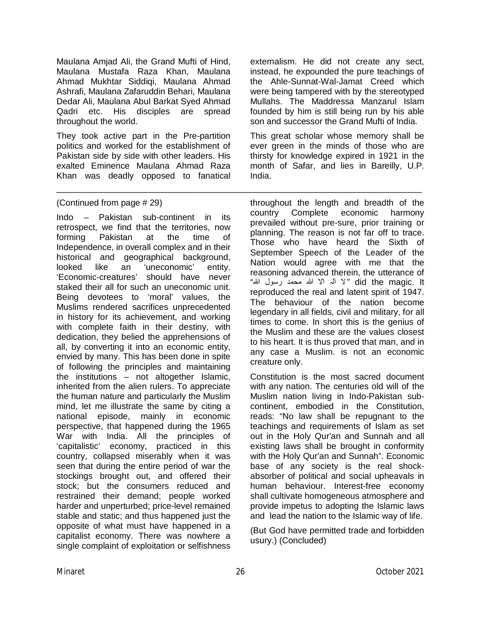Maulana Amjad Ali, the Grand Mufti of Hind, Maulana Mustafa Raza Khan, Maulana Ahmad Mukhtar Siddiqi, Maulana Ahmad Ashrafi, Maulana Zafaruddin Behari, Maulana Dedar Ali, Maulana Abul Barkat Syed Ahmad Qadri etc. His disciples are spread throughout the world.

They took active part in the Pre-partition politics and worked for the establishment of Pakistan side by side with other leaders. His exalted Eminence Maulana Ahmad Raza Khan was deadly opposed to fanatical

#### (Continued from page # 29)

Indo – Pakistan sub-continent in its retrospect, we find that the territories, now forming Pakistan at the time of Independence, in overall complex and in their historical and geographical background,<br>looked like an 'uneconomic' entity. looked like an 'uneconomic' entity. 'Economic-creatures' should have never staked their all for such an uneconomic unit. Being devotees to 'moral' values, the Muslims rendered sacrifices unprecedented in history for its achievement, and working with complete faith in their destiny, with dedication, they belied the apprehensions of all, by converting it into an economic entity, envied by many. This has been done in spite of following the principles and maintaining the institutions – not altogether Islamic, inherited from the alien rulers. To appreciate the human nature and particularly the Muslim mind, let me illustrate the same by citing a national episode, mainly in economic perspective, that happened during the 1965 War with India. All the principles of 'capitalistic' economy, practiced in this country, collapsed miserably when it was seen that during the entire period of war the stockings brought out, and offered their stock; but the consumers reduced and restrained their demand; people worked harder and unperturbed; price-level remained stable and static; and thus happened just the opposite of what must have happened in a capitalist economy. There was nowhere a single complaint of exploitation or selfishness externalism. He did not create any sect, instead, he expounded the pure teachings of the Ahle-Sunnat-Wal-Jamat Creed which were being tampered with by the stereotyped Mullahs. The Maddressa Manzarul Islam founded by him is still being run by his able son and successor the Grand Mufti of India.

This great scholar whose memory shall be ever green in the minds of those who are thirsty for knowledge expired in 1921 in the month of Safar, and lies in Bareilly, U.P. India.

throughout the length and breadth of the country Complete economic harmony prevailed without pre-sure, prior training or planning. The reason is not far off to trace. Those who have heard the Sixth of September Speech of the Leader of the Nation would agree with me that the reasoning advanced therein, the utterance of It .magic the did " لا الٰ ہ الاّ الله محمد رسول الله" reproduced the real and latent spirit of 1947. The behaviour of the nation become legendary in all fields, civil and military, for all times to come. In short this is the genius of the Muslim and these are the values closest to his heart. It is thus proved that man, and in any case a Muslim. is not an economic creature only.

Constitution is the most sacred document with any nation. The centuries old will of the Muslim nation living in Indo-Pakistan subcontinent, embodied in the Constitution, reads: "No law shall be repugnant to the teachings and requirements of Islam as set out in the Holy Qur'an and Sunnah and all existing laws shall be brought in conformity with the Holy Qur'an and Sunnah". Economic base of any society is the real shockabsorber of political and social upheavals in human behaviour. Interest-free economy shall cultivate homogeneous atmosphere and provide impetus to adopting the Islamic laws and lead the nation to the Islamic way of life.

(But God have permitted trade and forbidden usury.) (Concluded)

\_\_\_\_\_\_\_\_\_\_\_\_\_\_\_\_\_\_\_\_\_\_\_\_\_\_\_\_\_\_\_\_\_\_\_\_\_\_\_\_\_\_\_\_\_\_\_\_\_\_\_\_\_\_\_\_\_\_\_\_\_\_\_\_\_\_\_\_\_\_\_\_\_\_\_\_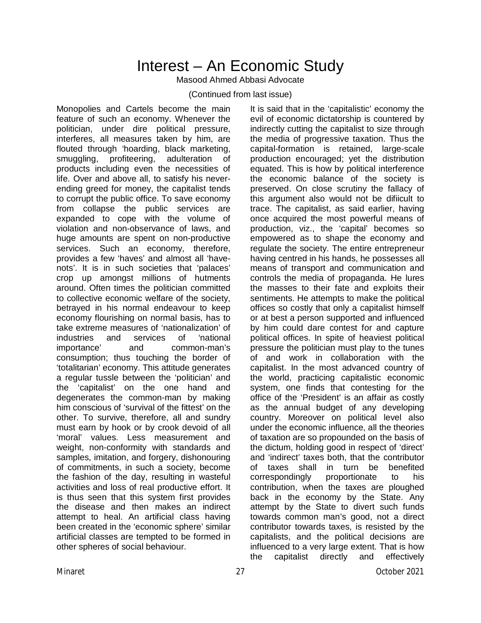## Interest – An Economic Study

Masood Ahmed Abbasi Advocate

#### (Continued from last issue)

Monopolies and Cartels become the main feature of such an economy. Whenever the politician, under dire political pressure, interferes, all measures taken by him, are flouted through 'hoarding, black marketing, smuggling, profiteering, adulteration of products including even the necessities of life. Over and above all, to satisfy his neverending greed for money, the capitalist tends to corrupt the public office. To save economy from collapse the public services are expanded to cope with the volume of violation and non-observance of laws, and huge amounts are spent on non-productive services. Such an economy, therefore, provides a few 'haves' and almost all 'havenots'. It is in such societies that 'palaces' crop up amongst millions of hutments around. Often times the politician committed to collective economic welfare of the society, betrayed in his normal endeavour to keep economy flourishing on normal basis, has to take extreme measures of 'nationalization' of<br>industries and services of 'national industries and services of 'national importance' and common-man's consumption; thus touching the border of 'totalitarian' economy. This attitude generates a regular tussle between the 'politician' and the 'capitalist' on the one hand and degenerates the common-man by making him conscious of 'survival of the fittest' on the other. To survive, therefore, all and sundry must earn by hook or by crook devoid of all 'moral' values. Less measurement and weight, non-conformity with standards and samples, imitation, and forgery, dishonouring of commitments, in such a society, become the fashion of the day, resulting in wasteful activities and loss of real productive effort. It is thus seen that this system first provides the disease and then makes an indirect attempt to heal. An artificial class having been created in the 'economic sphere' similar artificial classes are tempted to be formed in other spheres of social behaviour.

It is said that in the 'capitalistic' economy the evil of economic dictatorship is countered by indirectly cutting the capitalist to size through the media of progressive taxation. Thus the capital-formation is retained, large-scale production encouraged; yet the distribution equated. This is how by political interference the economic balance of the society is preserved. On close scrutiny the fallacy of this argument also would not be difiicult to trace. The capitalist, as said earlier, having once acquired the most powerful means of production, viz., the 'capital' becomes so empowered as to shape the economy and regulate the society. The entire entrepreneur having centred in his hands, he possesses all means of transport and communication and controls the media of propaganda. He lures the masses to their fate and exploits their sentiments. He attempts to make the political offices so costly that only a capitalist himself or at best a person supported and influenced by him could dare contest for and capture political offices. In spite of heaviest political pressure the politician must play to the tunes of and work in collaboration with the capitalist. In the most advanced country of the world, practicing capitalistic economic system, one finds that contesting for the office of the 'President' is an affair as costly as the annual budget of any developing country. Moreover on political level also under the economic influence, all the theories of taxation are so propounded on the basis of the dictum, holding good in respect of 'direct' and 'indirect' taxes both, that the contributor of taxes shall in turn be benefited correspondingly proportionate to his contribution, when the taxes are ploughed back in the economy by the State. Any attempt by the State to divert such funds towards common man's good, not a direct contributor towards taxes, is resisted by the capitalists, and the political decisions are influenced to a very large extent. That is how the capitalist directly and effectively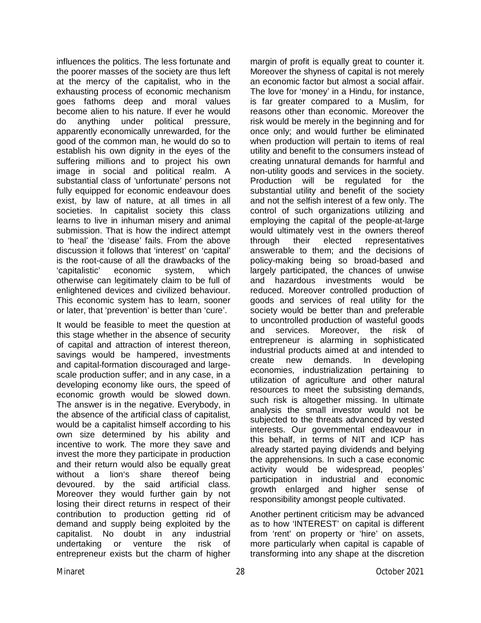influences the politics. The less fortunate and the poorer masses of the society are thus left at the mercy of the capitalist, who in the exhausting process of economic mechanism goes fathoms deep and moral values become alien to his nature. If ever he would do anything under political pressure, apparently economically unrewarded, for the good of the common man, he would do so to establish his own dignity in the eyes of the suffering millions and to project his own image in social and political realm. A substantial class of 'unfortunate' persons not fully equipped for economic endeavour does exist, by law of nature, at all times in all societies. In capitalist society this class learns to live in inhuman misery and animal submission. That is how the indirect attempt to 'heal' the 'disease' fails. From the above discussion it follows that 'interest' on 'capital' is the root-cause of all the drawbacks of the 'capitalistic' economic system, which otherwise can legitimately claim to be full of enlightened devices and civilized behaviour. This economic system has to learn, sooner or later, that 'prevention' is better than 'cure'.

It would be feasible to meet the question at this stage whether in the absence of security of capital and attraction of interest thereon, savings would be hampered, investments and capital-formation discouraged and largescale production suffer; and in any case, in a developing economy like ours, the speed of economic growth would be slowed down. The answer is in the negative. Everybody, in the absence of the artificial class of capitalist, would be a capitalist himself according to his own size determined by his ability and incentive to work. The more they save and invest the more they participate in production and their return would also be equally great without a lion's share thereof being devoured. by the said artificial class. Moreover they would further gain by not losing their direct returns in respect of their contribution to production getting rid of demand and supply being exploited by the capitalist. No doubt in any industrial undertaking or venture the risk of entrepreneur exists but the charm of higher

margin of profit is equally great to counter it. Moreover the shyness of capital is not merely an economic factor but almost a social affair. The love for 'money' in a Hindu, for instance, is far greater compared to a Muslim, for reasons other than economic. Moreover the risk would be merely in the beginning and for once only; and would further be eliminated when production will pertain to items of real utility and benefit to the consumers instead of creating unnatural demands for harmful and non-utility goods and services in the society. Production will be regulated for the substantial utility and benefit of the society and not the selfish interest of a few only. The control of such organizations utilizing and employing the capital of the people-at-large would ultimately vest in the owners thereof through their elected representatives answerable to them; and the decisions of policy-making being so broad-based and largely participated, the chances of unwise and hazardous investments would be reduced. Moreover controlled production of goods and services of real utility for the society would be better than and preferable to uncontrolled production of wasteful goods and services. Moreover, the risk of entrepreneur is alarming in sophisticated industrial products aimed at and intended to create new demands. In developing economies, industrialization pertaining to utilization of agriculture and other natural resources to meet the subsisting demands, such risk is altogether missing. In ultimate analysis the small investor would not be subjected to the threats advanced by vested interests. Our governmental endeavour in this behalf, in terms of NIT and ICP has already started paying dividends and belying the apprehensions. In such a case economic activity would be widespread, peoples' participation in industrial and economic growth enlarged and higher sense of responsibility amongst people cultivated.

Another pertinent criticism may be advanced as to how 'INTEREST' on capital is different from 'rent' on property or 'hire' on assets, more particularly when capital is capable of transforming into any shape at the discretion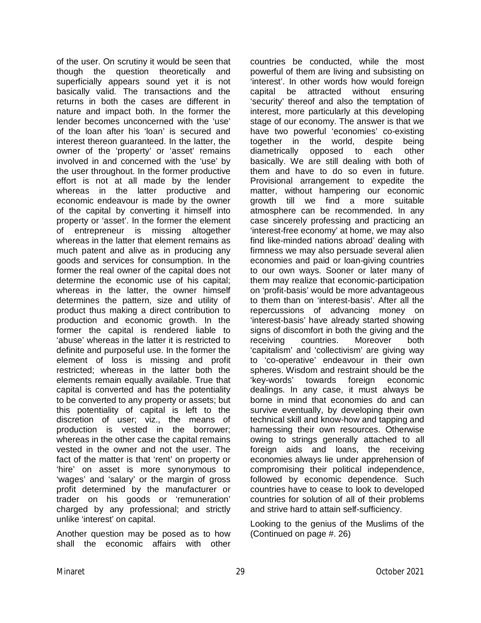of the user. On scrutiny it would be seen that though the question theoretically and superficially appears sound yet it is not basically valid. The transactions and the returns in both the cases are different in nature and impact both. In the former the lender becomes unconcerned with the 'use' of the loan after his 'loan' is secured and interest thereon guaranteed. In the latter, the owner of the 'property' or 'asset' remains involved in and concerned with the 'use' by the user throughout. In the former productive effort is not at all made by the lender whereas in the latter productive and economic endeavour is made by the owner of the capital by converting it himself into property or 'asset'. In the former the element of entrepreneur is missing altogether whereas in the latter that element remains as much patent and alive as in producing any goods and services for consumption. In the former the real owner of the capital does not determine the economic use of his capital; whereas in the latter, the owner himself determines the pattern, size and utility of product thus making a direct contribution to production and economic growth. In the former the capital is rendered liable to 'abuse' whereas in the latter it is restricted to definite and purposeful use. In the former the element of loss is missing and profit restricted; whereas in the latter both the elements remain equally available. True that capital is converted and has the potentiality to be converted to any property or assets; but this potentiality of capital is left to the discretion of user; viz., the means of production is vested in the borrower; whereas in the other case the capital remains vested in the owner and not the user. The fact of the matter is that 'rent' on property or 'hire' on asset is more synonymous to 'wages' and 'salary' or the margin of gross profit determined by the manufacturer or trader on his goods or 'remuneration' charged by any professional; and strictly unlike 'interest' on capital.

Another question may be posed as to how shall the economic affairs with other countries be conducted, while the most powerful of them are living and subsisting on 'interest'. In other words how would foreign capital be attracted without ensuring 'security' thereof and also the temptation of interest, more particularly at this developing stage of our economy. The answer is that we have two powerful 'economies' co-existing together in the world, despite being diametrically opposed to each other basically. We are still dealing with both of them and have to do so even in future. Provisional arrangement to expedite the matter, without hampering our economic growth till we find a more suitable atmosphere can be recommended. In any case sincerely professing and practicing an 'interest-free economy' at home, we may also find like-minded nations abroad' dealing with firmness we may also persuade several alien economies and paid or loan-giving countries to our own ways. Sooner or later many of them may realize that economic-participation on 'profit-basis' would be more advantageous to them than on 'interest-basis'. After all the repercussions of advancing money on 'interest-basis' have already started showing signs of discomfort in both the giving and the receiving countries. Moreover both 'capitalism' and 'collectivism' are giving way to 'co-operative' endeavour in their own spheres. Wisdom and restraint should be the 'key-words' towards foreign economic dealings. In any case, it must always be borne in mind that economies do and can survive eventually, by developing their own technical skill and know-how and tapping and harnessing their own resources. Otherwise owing to strings generally attached to all foreign aids and loans, the receiving economies always lie under apprehension of compromising their political independence, followed by economic dependence. Such countries have to cease to look to developed countries for solution of all of their problems and strive hard to attain self-sufficiency.

Looking to the genius of the Muslims of the (Continued on page #. 26)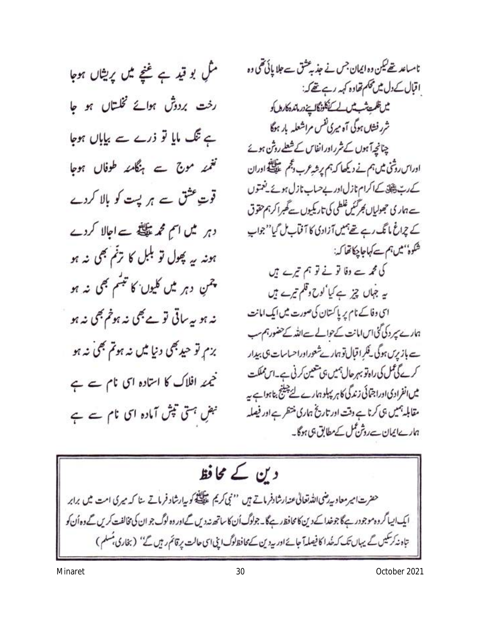منگ بو قید ہے نئیجے میں پریشاں ہوجا رخت بردوش ہوائے نخلتاں ہو جا ہے تنگ مایا تو ذرے سے بیاباں ہوجا تغمئہ موج ہے ہنگامئہ طوفال ہوجا قوت عثق ہے ہر پت کو بالا کردے دہر میں اسم محمد پہلتا ہے اجالا کردے ہونہ یہ پھول تو بلبل کا ترتم بھی نہ ہو چمن دہر میں کلیوں کا تبسّم بھی نہ ہو نہ ہو بیہ ساتی تو ہے بھی نہ ہوٹم بھی نہ ہو بزېر تو حيد بھي دنيا ميں نہ ہوتم بھي نہ ہو خیمئہ افلاک کا استادہ اس نام سے ہے نبضِ ہتی تپش آمادہ ای نام سے ہے

نامساعد تھے لیکن وہ ایمان جس نے جذبہ عشق سے جلا پائی تھی وہ اقبال کے دل میں محکم تھاوہ کہہ رہے تھے کہ: مس ظلميت شب لاس الاستخلاف كالمين دراتده كارهاكو شرر فشاں ہوگی آہ میری نفس مراشعلہ بار ہوگا چنانچہ آہوں کے شرراورانفاس کے شعلے روش ہوئے اوراس روشی میں ہم نے دیکھا کہ ہم پرشہ عرب دلجم علی ضلع اوران کے رب پیلی کے اکرام نازل اور بے حساب نازل ہوئے یفتوں ے ہار کی حجولیاں بھر کئیں غلطی کی تاریکیوں *تے تھبر اکر ہم* حقوق کے چراغ مانگ رہے تھے ہیں آزادی کا آقاب ٹل گیا''جواب شكوهُ'' ميں ہم سے كہاجا چكاتھا كہ: کی محمہ سے وفا تو نے تو ہم تیرے ہیں یہ جہاں چز ہے کیا 'لوح وقلم تیرے ہیں ای وفاکے نام پر پاکستان کی صورت میں ایک امانت ہارے سر دیگی اس امانت کے حوالے سے اللہ کے حضور ہم سب ہے باز برس ہوگی کے لگرا قبال تو ہمارےشعوراوراحساسات ہی ہیدار کرے گی گمل کی راہ تو بہر حال ہمیں ہی متعین کرنی ہے۔اس مملکت میں انفرادی اوراجتائی زندگی کا ہر پہلو ہارے لئے چینج بتاہوا ہے ہہ مقابلہ ہمیں ہی کرنا ہے وقت اور تاریخ ہماری منتظر ہے اور فیصلہ ہارےایمان سےروثن کمل کے مطابق ہی ہوگا۔



Minaret 30 October 2021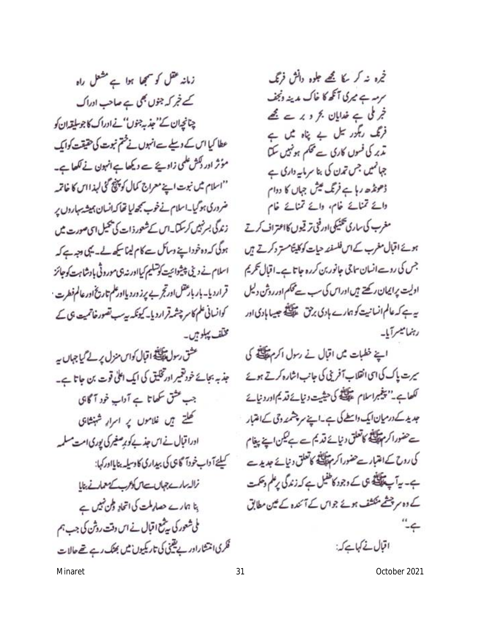زمانہ عقل کو سمجھا ہوا ہے مشعل راہ کے غر کہ جنوں بھی ہے صاحب ادراک چنانچەان كے''جذبہ جنوں''نے ادراك كاجوسليقہ ان كو عطا کیا اس کے دیلے ہےانہوں نے ختم نبوت کی حقیقت کوایک مؤثر ادر ڈکش علمی زاویئے ہے دیکھا ہےانہون نے لکھا ہے۔ ''اسلام میں نبوت اپنے معراج کمال کو پنچ گئی لہذااس کا خاتمہ ضروری ہوگیا۔اسلام نے خوب سمجھ لیا تھا کہ انسان ہمیشہ یہاروں پر زندگی بسر نہیں کرسکا۔اس کے شعور ذات کی پھیل اسی صورت میں ہوگی کہ دہ خود اپنے وسائل سے کام لینا کیے گے۔ یکی وجہ ہے کہ اسلام نے دینی پیشوائیت کو تسلیم کیااور نہ ہی موروثی بادشاہت کو جائز قرارديا- بار بارعقل اورتجر بے پرز ورد یااور علم تاريخ اور عالم فطرت کوانسانی علم کاسر چشمرقراردیا۔ کیونکہ بیہ سب تصورخاتمیت ہی کے مختف پېلو مېں۔

عشق رسول پیکنگ اقبال کواس منزل پر لے کیا جہاں یہ جذبہ بجائے خود تقییر اور تخلیق کی ایک اعلٰی قوت بن جاتا ہے۔ جب عشق سکھاتا ہے آداب خود آگاہی کھلتے ہیں غلاموں پر اسرار شہنشائ ادرا قبال نے اس جذبے کو پر صغیر کی پوری امت مسلمہ کیلئے آ داپ خودآ گا جی کی بیداری کا دسپلہ بنایااور کہا: نزال مارست جهال ست سكام بك سك معمار في بنايا ہنا ہمارے حصار ملت کی اتحاد وطن نہیں ہے ملی شعور کی بیٹمع اقبال نے اس دقت روشن کی جب ہم فکری انتشاراور بے یقینی کی تاریکیوں میں بھنگ رہے تھے حالات

خمرہ نہ کر کا تھے جلوہ دائش فرنگ سرسہ ہر کی آنکھ کا خاک مدینہ ونجف خجر ملی ہے خدایان بحر دیرے تھے فرنگ ریگور تیل بے پناہ میں ہے مذیر کی فسوں کاری سے تھکم ہو نہیں سکتا جہائمیں جس تمدن کی بنا سرمایہ داری ہے ڈھونڈھ رہا ہے فرنگ کیش جہاں کا دوام وائے تمنائے خام، وائے تمنائے خام

مغرب کی ساری تکنیکی اورفنی ترقیوں کااعتراف کرتے ہوئے اقبال مغرب کے اس فلسفند حیات کوکلیٹامستر دکرتے ہیں جس کی روسے انسان ساجی جانور بن کررہ جاتا ہے۔اقبال تحریم اولیت پرایمان رکھتے ہیں اوراس کی سب سے محکم اور روش دلیل ہے ہے کہ عالم انسانیت کو ہمارے ہادی برحق علاقیقی جیسا ہادی اور رہنمائیسرآبا۔

اب خطبات من اقبال فى رسول اكرم من كل یرت پاک کی ای انقلاب آفرینی کی جانب اشارہ کرتے ہوئے لكعاب يسيغبراسلام عطيت كاحيثيت ونيائة قديم اوردنيات جدید کے درمیان ایک واسطے کی ہے۔اپنے سر پشمند دحی کے امتبار سے حضورا کر مہیلی کا کا تعلق دنیائے قدیم ہے بھی اپنے پیغام کی روح کے اعتبار سے حضور اکر مہنگ کا کا تعلق دنیائے جدیدے ہے۔ یہ آپ پیچنے ہی کے وجود کاطفیل ہے کہ زندگی پرعلم وحکمت کے دہ سرچشے منکشف ہوئے جواس کے آئندہ کے میں مطابق ے۔"

اقبال نے کہاہے کہ:

Minaret 31 October 2021